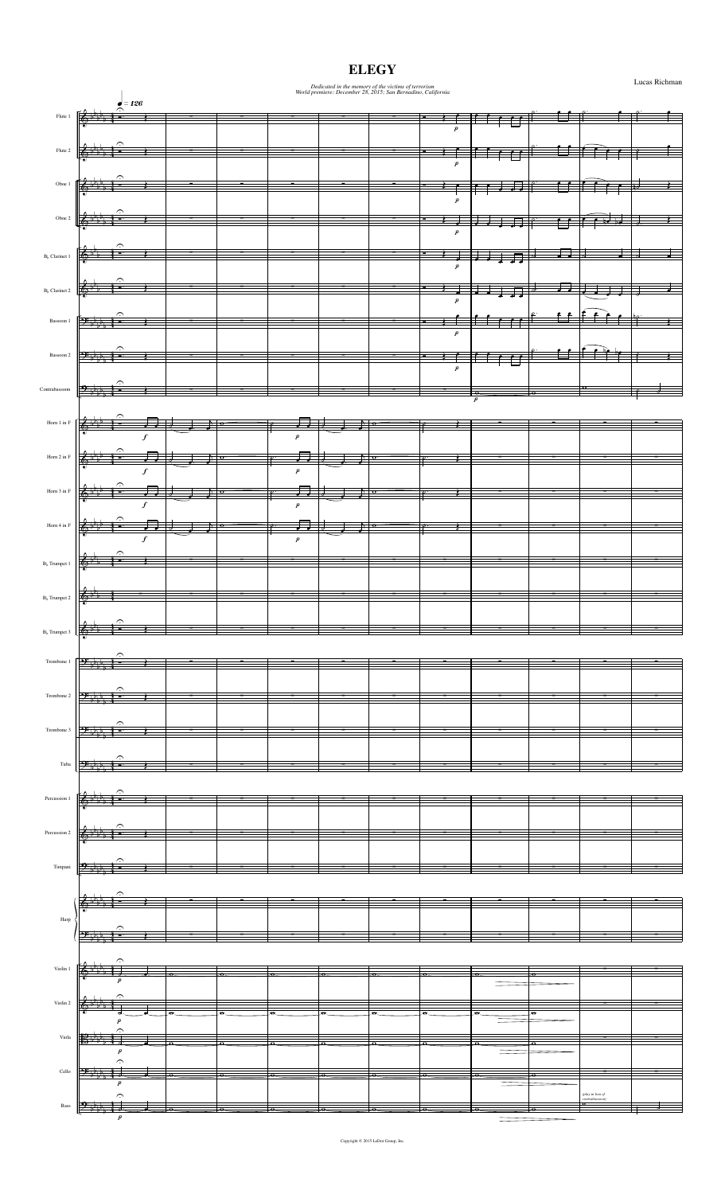## **ELEGY**

|                                                                                                                                                                                                                                                                                                                                                                                                                                                |                                    |                                                         | Dedicated in the memory of the victims of terrorism<br>World premiere: December 28, 2015; San Bernadino, California |                         |                         |                  |                          |                  |   |
|------------------------------------------------------------------------------------------------------------------------------------------------------------------------------------------------------------------------------------------------------------------------------------------------------------------------------------------------------------------------------------------------------------------------------------------------|------------------------------------|---------------------------------------------------------|---------------------------------------------------------------------------------------------------------------------|-------------------------|-------------------------|------------------|--------------------------|------------------|---|
| $\sum_{i=1}^{n} 126$<br>Flute 1                                                                                                                                                                                                                                                                                                                                                                                                                |                                    |                                                         |                                                                                                                     |                         |                         |                  |                          |                  |   |
|                                                                                                                                                                                                                                                                                                                                                                                                                                                |                                    |                                                         |                                                                                                                     |                         | $\boldsymbol{p}$        |                  |                          |                  |   |
| Flute 2                                                                                                                                                                                                                                                                                                                                                                                                                                        |                                    |                                                         |                                                                                                                     |                         |                         |                  |                          |                  |   |
|                                                                                                                                                                                                                                                                                                                                                                                                                                                |                                    |                                                         |                                                                                                                     |                         | $\boldsymbol{p}$        |                  |                          |                  |   |
| Oboe $\boldsymbol{1}$                                                                                                                                                                                                                                                                                                                                                                                                                          |                                    |                                                         |                                                                                                                     |                         |                         |                  |                          |                  |   |
|                                                                                                                                                                                                                                                                                                                                                                                                                                                |                                    |                                                         |                                                                                                                     |                         | $\pmb{p}$               |                  |                          |                  |   |
| Oboe $2\,$                                                                                                                                                                                                                                                                                                                                                                                                                                     |                                    |                                                         |                                                                                                                     |                         |                         |                  |                          | ⋥                |   |
|                                                                                                                                                                                                                                                                                                                                                                                                                                                |                                    |                                                         |                                                                                                                     |                         | $\boldsymbol{p}$        |                  |                          |                  |   |
| $\mathrm{B}_{\flat}$ Clarinet 1                                                                                                                                                                                                                                                                                                                                                                                                                |                                    |                                                         |                                                                                                                     |                         |                         |                  |                          |                  |   |
|                                                                                                                                                                                                                                                                                                                                                                                                                                                |                                    |                                                         |                                                                                                                     |                         | $\pmb{p}$               |                  |                          |                  |   |
| $Bb$ Clarinet 2<br>Θ                                                                                                                                                                                                                                                                                                                                                                                                                           |                                    |                                                         |                                                                                                                     |                         |                         |                  |                          |                  |   |
|                                                                                                                                                                                                                                                                                                                                                                                                                                                |                                    |                                                         |                                                                                                                     |                         | $\boldsymbol{p}$        |                  |                          |                  |   |
| Bassoon 1<br>2                                                                                                                                                                                                                                                                                                                                                                                                                                 |                                    |                                                         |                                                                                                                     |                         |                         |                  |                          |                  | Ł |
|                                                                                                                                                                                                                                                                                                                                                                                                                                                |                                    |                                                         |                                                                                                                     |                         | $\boldsymbol{p}$        |                  |                          |                  |   |
| Bassoon 2<br><del>ע</del>                                                                                                                                                                                                                                                                                                                                                                                                                      |                                    |                                                         |                                                                                                                     |                         |                         |                  |                          |                  |   |
|                                                                                                                                                                                                                                                                                                                                                                                                                                                |                                    |                                                         |                                                                                                                     |                         | $\boldsymbol{p}$        |                  |                          |                  |   |
| ᠫᡃᡰ<br>Contrabassoon                                                                                                                                                                                                                                                                                                                                                                                                                           |                                    |                                                         |                                                                                                                     |                         |                         |                  |                          |                  |   |
|                                                                                                                                                                                                                                                                                                                                                                                                                                                |                                    |                                                         |                                                                                                                     |                         |                         | $\boldsymbol{p}$ |                          |                  |   |
| Horn 1 in F                                                                                                                                                                                                                                                                                                                                                                                                                                    |                                    |                                                         | ᢖ                                                                                                                   | Ð                       |                         |                  |                          |                  |   |
|                                                                                                                                                                                                                                                                                                                                                                                                                                                |                                    | $\pmb{p}$                                               |                                                                                                                     |                         |                         |                  |                          |                  |   |
| Horn 2 in F                                                                                                                                                                                                                                                                                                                                                                                                                                    | $\mathbf \sigma$                   |                                                         |                                                                                                                     | $\overline{\mathbf{r}}$ |                         |                  |                          |                  |   |
|                                                                                                                                                                                                                                                                                                                                                                                                                                                |                                    | $\boldsymbol{p}$                                        |                                                                                                                     |                         |                         |                  |                          |                  |   |
| Horn 3 in F<br>$\overline{\phantom{a}}$                                                                                                                                                                                                                                                                                                                                                                                                        | $\overline{\mathbf{a}}$            | $\overline{\phantom{a}}$                                |                                                                                                                     | c                       |                         |                  |                          |                  |   |
|                                                                                                                                                                                                                                                                                                                                                                                                                                                |                                    | $\boldsymbol{p}$                                        |                                                                                                                     |                         |                         |                  |                          |                  |   |
| Horn 4 in F                                                                                                                                                                                                                                                                                                                                                                                                                                    | $\sigma$                           | $\overline{\phantom{a}}$                                |                                                                                                                     | $\overline{a}$          |                         |                  |                          |                  |   |
| f                                                                                                                                                                                                                                                                                                                                                                                                                                              |                                    | $\boldsymbol{p}$                                        |                                                                                                                     |                         |                         |                  |                          |                  |   |
| Ŧ<br>$\Phi^{\nu}$<br>B <sub>b</sub> Trumpet 1                                                                                                                                                                                                                                                                                                                                                                                                  |                                    |                                                         |                                                                                                                     |                         |                         |                  |                          |                  |   |
|                                                                                                                                                                                                                                                                                                                                                                                                                                                |                                    |                                                         |                                                                                                                     |                         |                         |                  |                          |                  |   |
| ⊕                                                                                                                                                                                                                                                                                                                                                                                                                                              |                                    |                                                         |                                                                                                                     |                         |                         |                  |                          |                  |   |
| $\rm B_{\rm b}$ Trumpet 2<br>٠                                                                                                                                                                                                                                                                                                                                                                                                                 |                                    |                                                         |                                                                                                                     |                         |                         |                  |                          |                  |   |
| B <sub>b</sub> Trumpet 3 $\left[\begin{array}{ccc} \begin{array}{ccc} \end{array} & \begin{array}{ccc} \end{array} & \begin{array}{ccc} \end{array} & \begin{array}{ccc} \end{array} & \begin{array}{ccc} \end{array} & \begin{array}{ccc} \end{array} & \end{array} \right]$                                                                                                                                                                  |                                    |                                                         |                                                                                                                     |                         |                         |                  |                          |                  |   |
|                                                                                                                                                                                                                                                                                                                                                                                                                                                |                                    |                                                         |                                                                                                                     |                         |                         |                  |                          |                  |   |
| Trombone 1 $\left  \frac{2\mathbf{r}}{\mathbf{r}^2 + \mathbf{r}^2} \right $                                                                                                                                                                                                                                                                                                                                                                    |                                    |                                                         |                                                                                                                     |                         |                         |                  |                          |                  |   |
|                                                                                                                                                                                                                                                                                                                                                                                                                                                |                                    |                                                         |                                                                                                                     |                         |                         |                  |                          |                  |   |
| Trombone 2 $\left \frac{9}{\left \frac{1}{\left \frac{1}{2}\right }\right }\right _1^{\frac{1}{2}}$                                                                                                                                                                                                                                                                                                                                            |                                    |                                                         |                                                                                                                     |                         |                         |                  |                          |                  |   |
|                                                                                                                                                                                                                                                                                                                                                                                                                                                |                                    |                                                         |                                                                                                                     |                         |                         |                  |                          |                  |   |
| Trombone 3 $\left  \frac{1}{\left  \frac{1}{\left  \frac{1}{\left  \frac{1}{\left  \frac{1}{\left  \frac{1}{\left  \frac{1}{\left  \frac{1}{\left  \frac{1}{\left  \frac{1}{\left  \frac{1}{\left  \frac{1}{\left  \frac{1}{\left  \frac{1}{\left  \frac{1}{\left  \frac{1}{\left  \frac{1}{\left  \frac{1}{\left  \frac{1}{\left  \frac{1}{\left  \frac{1}{\left  \frac{1}{\left  \frac{1}{\left  \frac{1}{\left  \frac{1}{\left  \frac{1}{\$ | $\blacksquare$                     | <u> Tanzania de Ca</u>                                  | $ -$                                                                                                                |                         | ÷                       |                  |                          |                  |   |
|                                                                                                                                                                                                                                                                                                                                                                                                                                                |                                    |                                                         |                                                                                                                     |                         |                         |                  |                          |                  |   |
| Tuba $\left[\begin{array}{ccc} \bullet & \bullet & \bullet \\ \bullet & \bullet & \bullet & \bullet \\ \hline \end{array}\right]$                                                                                                                                                                                                                                                                                                              |                                    |                                                         |                                                                                                                     |                         |                         |                  |                          |                  |   |
|                                                                                                                                                                                                                                                                                                                                                                                                                                                |                                    |                                                         |                                                                                                                     |                         |                         |                  |                          |                  |   |
|                                                                                                                                                                                                                                                                                                                                                                                                                                                | $\sim$ $\sim$ $\sim$               | ÷                                                       | $\sim$                                                                                                              | <u>ж.</u>               |                         |                  |                          |                  |   |
|                                                                                                                                                                                                                                                                                                                                                                                                                                                |                                    |                                                         |                                                                                                                     |                         |                         |                  |                          |                  |   |
| $\frac{1}{2}$ $\frac{1}{2}$ $\frac{1}{2}$ $\frac{1}{2}$ $\frac{1}{2}$ $\frac{1}{2}$ $\frac{1}{2}$ $\frac{1}{2}$ $\frac{1}{2}$ $\frac{1}{2}$ $\frac{1}{2}$ $\frac{1}{2}$ $\frac{1}{2}$ $\frac{1}{2}$ $\frac{1}{2}$ $\frac{1}{2}$ $\frac{1}{2}$ $\frac{1}{2}$ $\frac{1}{2}$ $\frac{1}{2}$ $\frac{1}{2}$ $\frac{1}{2}$<br>Percussion 2                                                                                                            |                                    |                                                         |                                                                                                                     |                         |                         |                  |                          |                  |   |
|                                                                                                                                                                                                                                                                                                                                                                                                                                                |                                    |                                                         |                                                                                                                     |                         |                         |                  |                          |                  |   |
| Timpani $\left[\begin{array}{ccc} \cdot & \cdot & \cdot \\ \hline \cdot & \cdot & \cdot \\ \cdot & \cdot & \cdot \\ \hline \end{array}\right]$                                                                                                                                                                                                                                                                                                 | $\sim$ $\sim$ $\sim$ $\sim$ $\sim$ |                                                         |                                                                                                                     |                         |                         |                  |                          |                  |   |
|                                                                                                                                                                                                                                                                                                                                                                                                                                                |                                    |                                                         |                                                                                                                     |                         |                         |                  |                          |                  |   |
| $\frac{2}{5}$ $\frac{1}{2}$ $\frac{1}{2}$ $\frac{1}{2}$ $\frac{1}{2}$                                                                                                                                                                                                                                                                                                                                                                          | $\sim$ $\sim$ $\sim$ $\sim$        |                                                         |                                                                                                                     |                         |                         |                  |                          |                  |   |
| $_{\rm{Harp}}$                                                                                                                                                                                                                                                                                                                                                                                                                                 |                                    |                                                         |                                                                                                                     |                         |                         |                  |                          |                  |   |
| $\frac{1}{2}$                                                                                                                                                                                                                                                                                                                                                                                                                                  | $\sim$                             | $\sim$ $\sim$ $\sim$ $\sim$ $\sim$ $\sim$ $\sim$ $\sim$ |                                                                                                                     |                         |                         |                  |                          |                  |   |
|                                                                                                                                                                                                                                                                                                                                                                                                                                                |                                    |                                                         |                                                                                                                     |                         |                         |                  |                          |                  |   |
| $V_{\text{tolin}}$ ( $\begin{array}{ c c c c c }\hline \textbf{c} & \textbf{b} & \textbf{c} & \textbf{c} & \textbf{c} & \textbf{c} & \textbf{c} & \textbf{c} & \textbf{c} & \textbf{c} & \textbf{c} & \textbf{c} & \textbf{c} & \textbf{c} & \textbf{c} & \textbf{c} & \textbf{c} & \textbf{c} & \textbf{c} & \textbf{c} & \textbf{c} & \textbf{c} & \textbf{c} & \textbf{c} & \textbf{c} & \textbf{c} & \textbf{c} &$                         |                                    |                                                         |                                                                                                                     |                         |                         | ╘                | $\overline{\phantom{0}}$ |                  |   |
|                                                                                                                                                                                                                                                                                                                                                                                                                                                |                                    |                                                         |                                                                                                                     |                         |                         |                  |                          |                  |   |
|                                                                                                                                                                                                                                                                                                                                                                                                                                                |                                    |                                                         |                                                                                                                     |                         |                         |                  |                          |                  |   |
|                                                                                                                                                                                                                                                                                                                                                                                                                                                |                                    |                                                         |                                                                                                                     |                         |                         |                  |                          |                  |   |
| $B + 1$<br>$\rm Viola$<br>المناقب                                                                                                                                                                                                                                                                                                                                                                                                              |                                    |                                                         |                                                                                                                     |                         |                         |                  |                          |                  |   |
|                                                                                                                                                                                                                                                                                                                                                                                                                                                |                                    |                                                         |                                                                                                                     |                         |                         |                  |                          |                  |   |
| $_{\rm Cello}$<br>$\mathcal{P} \models_{\mathcal{F}_{\mathcal{F}}}$                                                                                                                                                                                                                                                                                                                                                                            | $\overline{\bullet}$               |                                                         | $\overline{\bullet}$                                                                                                | $\overline{\mathbf{e}}$ | $\overline{\mathbf{e}}$ |                  | $\overline{\bullet}$     |                  |   |
|                                                                                                                                                                                                                                                                                                                                                                                                                                                |                                    |                                                         |                                                                                                                     |                         |                         |                  |                          | (play in lieu of |   |
| $\frac{1}{2}$<br>$_{\rm Bass}$                                                                                                                                                                                                                                                                                                                                                                                                                 |                                    |                                                         |                                                                                                                     |                         |                         |                  |                          | antrabayyaa      |   |
| $\pmb{p}$                                                                                                                                                                                                                                                                                                                                                                                                                                      |                                    |                                                         |                                                                                                                     |                         |                         |                  |                          |                  |   |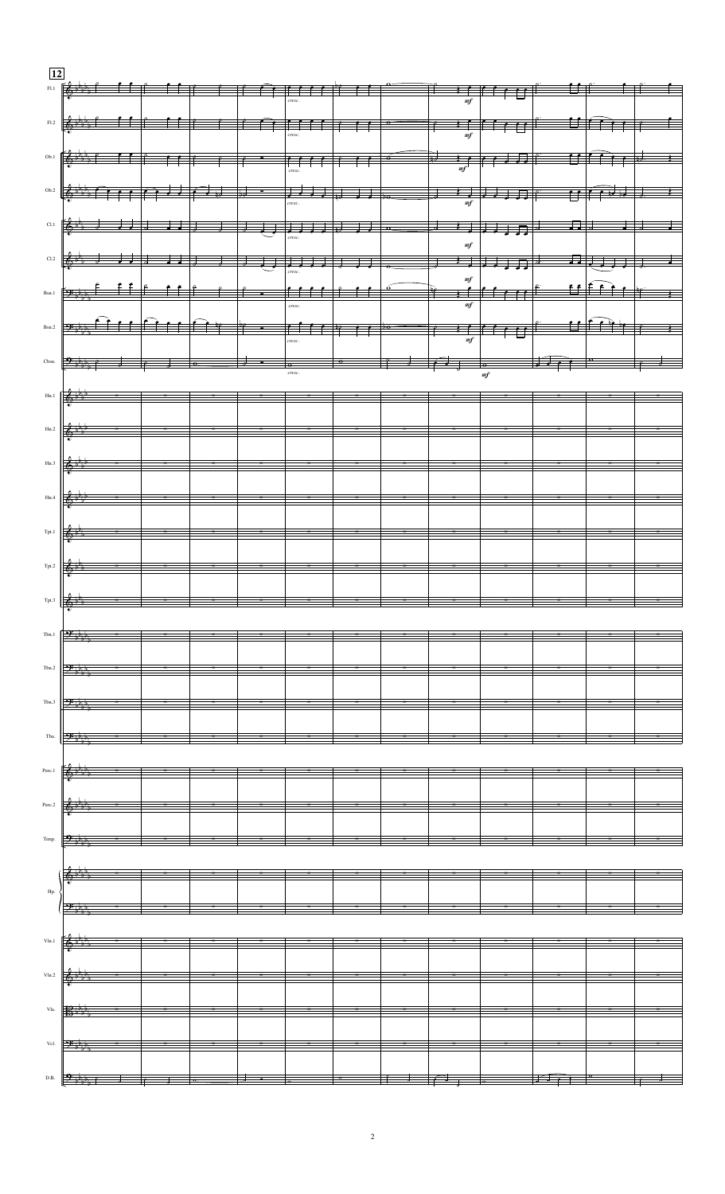| $\overline{12}$          |                                                                                                                                                                                                                                                                                                                                                                                                 |                                                                                                                                                                                                                            |                               |                          |                                                                                                                                                                                                                                                                                                                                                                                                                                           |                        |                                         |                      |      |                                                                                                                                                                                                                                                                                                                                                                                                                                         |                                                                                                               |                                               |
|--------------------------|-------------------------------------------------------------------------------------------------------------------------------------------------------------------------------------------------------------------------------------------------------------------------------------------------------------------------------------------------------------------------------------------------|----------------------------------------------------------------------------------------------------------------------------------------------------------------------------------------------------------------------------|-------------------------------|--------------------------|-------------------------------------------------------------------------------------------------------------------------------------------------------------------------------------------------------------------------------------------------------------------------------------------------------------------------------------------------------------------------------------------------------------------------------------------|------------------------|-----------------------------------------|----------------------|------|-----------------------------------------------------------------------------------------------------------------------------------------------------------------------------------------------------------------------------------------------------------------------------------------------------------------------------------------------------------------------------------------------------------------------------------------|---------------------------------------------------------------------------------------------------------------|-----------------------------------------------|
|                          | FI.1 6 3 1                                                                                                                                                                                                                                                                                                                                                                                      |                                                                                                                                                                                                                            |                               |                          | $\equiv \frac{1}{\sqrt{2}}$                                                                                                                                                                                                                                                                                                                                                                                                               |                        |                                         | $\int_{\mathit{mf}}$ |      |                                                                                                                                                                                                                                                                                                                                                                                                                                         |                                                                                                               |                                               |
|                          |                                                                                                                                                                                                                                                                                                                                                                                                 |                                                                                                                                                                                                                            |                               |                          |                                                                                                                                                                                                                                                                                                                                                                                                                                           |                        |                                         |                      |      |                                                                                                                                                                                                                                                                                                                                                                                                                                         |                                                                                                               |                                               |
|                          | $F1.2$ $\left($ $\frac{1}{2}$ $\frac{1}{2}$ $\frac{1}{2}$ $\frac{1}{2}$                                                                                                                                                                                                                                                                                                                         |                                                                                                                                                                                                                            |                               |                          |                                                                                                                                                                                                                                                                                                                                                                                                                                           |                        |                                         |                      |      |                                                                                                                                                                                                                                                                                                                                                                                                                                         | $\frac{1}{2}$ , $\frac{1}{2}$ , $\frac{1}{2}$ , $\frac{1}{2}$ , $\frac{1}{2}$ , $\frac{1}{2}$ , $\frac{1}{2}$ |                                               |
|                          |                                                                                                                                                                                                                                                                                                                                                                                                 |                                                                                                                                                                                                                            |                               |                          |                                                                                                                                                                                                                                                                                                                                                                                                                                           |                        |                                         |                      |      |                                                                                                                                                                                                                                                                                                                                                                                                                                         |                                                                                                               |                                               |
|                          | $0_{b.1}$ $\left[\frac{1}{2} + \frac{1}{2} + \frac{1}{2} + \frac{1}{2} + \frac{1}{2} + \frac{1}{2} + \frac{1}{2} + \frac{1}{2} + \frac{1}{2} + \frac{1}{2} + \frac{1}{2} + \frac{1}{2} + \frac{1}{2} + \frac{1}{2} + \frac{1}{2} + \frac{1}{2} + \frac{1}{2} + \frac{1}{2} + \frac{1}{2} + \frac{1}{2} + \frac{1}{2} + \frac{1}{2} + \frac{1}{2} + \frac{1}{2} + \frac{1}{2} + \frac{1}{2} + \$ | $\left  \cdot \right $                                                                                                                                                                                                     |                               |                          | $\begin{array}{ c c c c c c c c } \hline \rule{0pt}{1ex} & \quad \quad & \mathbf{p} & \mathbf{p} & \mathbf{p} & \mathbf{p} \\ \hline \rule{0pt}{2ex} & \quad & \mathbf{p} & \mathbf{p} & \mathbf{p} & \mathbf{p} \\ \hline \rule{0pt}{2ex} & \quad & \mathbf{p} & \mathbf{p} & \mathbf{p} \\ \hline \rule{0pt}{2ex} & \quad & \mathbf{p} & \mathbf{p} & \mathbf{p} \\ \hline \rule{0pt}{2ex} & \quad & \mathbf{p} & \mathbf{p} & \mathbf$ | $\left  \cdot \right $ |                                         |                      |      |                                                                                                                                                                                                                                                                                                                                                                                                                                         |                                                                                                               |                                               |
|                          |                                                                                                                                                                                                                                                                                                                                                                                                 |                                                                                                                                                                                                                            |                               |                          |                                                                                                                                                                                                                                                                                                                                                                                                                                           |                        |                                         |                      |      |                                                                                                                                                                                                                                                                                                                                                                                                                                         |                                                                                                               |                                               |
|                          |                                                                                                                                                                                                                                                                                                                                                                                                 |                                                                                                                                                                                                                            |                               |                          |                                                                                                                                                                                                                                                                                                                                                                                                                                           |                        |                                         |                      |      | $\frac{1}{\sqrt{2}}$                                                                                                                                                                                                                                                                                                                                                                                                                    |                                                                                                               |                                               |
|                          |                                                                                                                                                                                                                                                                                                                                                                                                 |                                                                                                                                                                                                                            |                               |                          |                                                                                                                                                                                                                                                                                                                                                                                                                                           |                        |                                         |                      |      |                                                                                                                                                                                                                                                                                                                                                                                                                                         |                                                                                                               |                                               |
|                          |                                                                                                                                                                                                                                                                                                                                                                                                 |                                                                                                                                                                                                                            |                               |                          |                                                                                                                                                                                                                                                                                                                                                                                                                                           |                        |                                         |                      |      |                                                                                                                                                                                                                                                                                                                                                                                                                                         |                                                                                                               | $\overline{\phantom{a}}$                      |
|                          |                                                                                                                                                                                                                                                                                                                                                                                                 |                                                                                                                                                                                                                            |                               |                          |                                                                                                                                                                                                                                                                                                                                                                                                                                           |                        |                                         |                      |      |                                                                                                                                                                                                                                                                                                                                                                                                                                         |                                                                                                               |                                               |
|                          |                                                                                                                                                                                                                                                                                                                                                                                                 | $\frac{1}{2}$ $\frac{1}{2}$ $\frac{1}{2}$ $\frac{1}{2}$ $\frac{1}{2}$ $\frac{1}{2}$ $\frac{1}{2}$ $\frac{1}{2}$ $\frac{1}{2}$                                                                                              |                               |                          |                                                                                                                                                                                                                                                                                                                                                                                                                                           |                        |                                         |                      |      | $\overline{\phantom{a}}$                                                                                                                                                                                                                                                                                                                                                                                                                |                                                                                                               | $\frac{1}{2}$ , $\frac{1}{2}$ , $\frac{1}{2}$ |
|                          |                                                                                                                                                                                                                                                                                                                                                                                                 |                                                                                                                                                                                                                            |                               |                          | $\overrightarrow{c}$                                                                                                                                                                                                                                                                                                                                                                                                                      |                        | $\frac{1}{\sigma}$ , $\frac{1}{\sigma}$ |                      | ナナワド |                                                                                                                                                                                                                                                                                                                                                                                                                                         |                                                                                                               |                                               |
|                          |                                                                                                                                                                                                                                                                                                                                                                                                 |                                                                                                                                                                                                                            |                               |                          |                                                                                                                                                                                                                                                                                                                                                                                                                                           |                        |                                         |                      |      |                                                                                                                                                                                                                                                                                                                                                                                                                                         |                                                                                                               |                                               |
|                          |                                                                                                                                                                                                                                                                                                                                                                                                 |                                                                                                                                                                                                                            |                               |                          |                                                                                                                                                                                                                                                                                                                                                                                                                                           |                        |                                         |                      |      | $B_{\rm{Bul}} \left[ \begin{array}{cccccccccccccccccc} \textbf{B}_{\rm{Bul}} & \textbf{B}_{\rm{Bul}} & \textbf{B}_{\rm{Bul}} & \textbf{B}_{\rm{Bul}} & \textbf{B}_{\rm{Bul}} & \textbf{B}_{\rm{Bul}} & \textbf{B}_{\rm{Bul}} & \textbf{B}_{\rm{Bul}} & \textbf{B}_{\rm{Bul}} & \textbf{B}_{\rm{Bul}} & \textbf{B}_{\rm{Bul}} & \textbf{B}_{\rm{Bul}} & \textbf{B}_{\rm{Bul}} & \textbf{B}_{\rm{Bul}} & \textbf{B}_{\rm{Bul}} & \textbf$ |                                                                                                               |                                               |
|                          |                                                                                                                                                                                                                                                                                                                                                                                                 |                                                                                                                                                                                                                            |                               |                          |                                                                                                                                                                                                                                                                                                                                                                                                                                           |                        |                                         |                      |      |                                                                                                                                                                                                                                                                                                                                                                                                                                         |                                                                                                               |                                               |
|                          |                                                                                                                                                                                                                                                                                                                                                                                                 |                                                                                                                                                                                                                            |                               |                          |                                                                                                                                                                                                                                                                                                                                                                                                                                           |                        |                                         |                      |      |                                                                                                                                                                                                                                                                                                                                                                                                                                         |                                                                                                               |                                               |
|                          |                                                                                                                                                                                                                                                                                                                                                                                                 |                                                                                                                                                                                                                            |                               |                          |                                                                                                                                                                                                                                                                                                                                                                                                                                           |                        |                                         |                      |      |                                                                                                                                                                                                                                                                                                                                                                                                                                         |                                                                                                               |                                               |
| Cbsn.                    | $\mathbb{P}\mathbb{P}_\mathbb{P}$ f                                                                                                                                                                                                                                                                                                                                                             |                                                                                                                                                                                                                            | $\overline{\phantom{1}}$      | 坓<br>÷                   | $\begin{array}{c c c}\n\hline\n\bullet & \bullet & \circ & \circ \\ \hline\n\bullet & \bullet & \bullet & \circ \\ \hline\n\text{cresc.} & & & \end{array}$                                                                                                                                                                                                                                                                               |                        |                                         |                      |      | $\left  \left\{ \frac{1}{2}, \frac{1}{2}, \frac{1}{2}, \cdots, \frac{1}{2}, \frac{1}{2}, \cdots, \frac{1}{2}, \frac{1}{2}, \cdots, \frac{1}{2}, \cdots, \frac{1}{2}, \cdots, \frac{1}{2}, \cdots, \frac{1}{2}, \cdots, \frac{1}{2}, \cdots, \frac{1}{2}, \cdots, \frac{1}{2}, \cdots, \frac{1}{2}, \cdots, \frac{1}{2}, \cdots, \frac{1}{2}, \cdots, \frac{1}{2}, \cdots, \frac{1}{2}, \cdots, \frac{1}{2}, \cdots, \frac{1}{2}, \cd$   |                                                                                                               |                                               |
|                          |                                                                                                                                                                                                                                                                                                                                                                                                 |                                                                                                                                                                                                                            |                               |                          |                                                                                                                                                                                                                                                                                                                                                                                                                                           |                        |                                         |                      |      |                                                                                                                                                                                                                                                                                                                                                                                                                                         |                                                                                                               |                                               |
|                          | $\frac{Hn.1}{100}$                                                                                                                                                                                                                                                                                                                                                                              |                                                                                                                                                                                                                            |                               |                          |                                                                                                                                                                                                                                                                                                                                                                                                                                           |                        |                                         |                      |      |                                                                                                                                                                                                                                                                                                                                                                                                                                         |                                                                                                               |                                               |
|                          |                                                                                                                                                                                                                                                                                                                                                                                                 |                                                                                                                                                                                                                            |                               |                          |                                                                                                                                                                                                                                                                                                                                                                                                                                           |                        |                                         |                      |      |                                                                                                                                                                                                                                                                                                                                                                                                                                         |                                                                                                               |                                               |
|                          | $\frac{Hn^2}{2}$                                                                                                                                                                                                                                                                                                                                                                                |                                                                                                                                                                                                                            |                               |                          |                                                                                                                                                                                                                                                                                                                                                                                                                                           |                        |                                         |                      |      |                                                                                                                                                                                                                                                                                                                                                                                                                                         |                                                                                                               |                                               |
|                          |                                                                                                                                                                                                                                                                                                                                                                                                 |                                                                                                                                                                                                                            |                               |                          |                                                                                                                                                                                                                                                                                                                                                                                                                                           |                        |                                         |                      |      |                                                                                                                                                                                                                                                                                                                                                                                                                                         |                                                                                                               |                                               |
|                          | $\frac{\text{Hn.3}}{\text{O}}$                                                                                                                                                                                                                                                                                                                                                                  |                                                                                                                                                                                                                            |                               |                          |                                                                                                                                                                                                                                                                                                                                                                                                                                           |                        |                                         |                      |      |                                                                                                                                                                                                                                                                                                                                                                                                                                         |                                                                                                               |                                               |
|                          |                                                                                                                                                                                                                                                                                                                                                                                                 |                                                                                                                                                                                                                            |                               |                          |                                                                                                                                                                                                                                                                                                                                                                                                                                           |                        |                                         |                      |      |                                                                                                                                                                                                                                                                                                                                                                                                                                         |                                                                                                               |                                               |
| Hn.4                     | $6 + 1$                                                                                                                                                                                                                                                                                                                                                                                         |                                                                                                                                                                                                                            |                               |                          |                                                                                                                                                                                                                                                                                                                                                                                                                                           |                        |                                         |                      |      |                                                                                                                                                                                                                                                                                                                                                                                                                                         |                                                                                                               |                                               |
|                          |                                                                                                                                                                                                                                                                                                                                                                                                 |                                                                                                                                                                                                                            |                               |                          |                                                                                                                                                                                                                                                                                                                                                                                                                                           |                        |                                         |                      |      |                                                                                                                                                                                                                                                                                                                                                                                                                                         |                                                                                                               |                                               |
| $_{\rm Tpt.1}$           | $\frac{2}{5}$                                                                                                                                                                                                                                                                                                                                                                                   |                                                                                                                                                                                                                            |                               |                          |                                                                                                                                                                                                                                                                                                                                                                                                                                           |                        |                                         |                      |      |                                                                                                                                                                                                                                                                                                                                                                                                                                         |                                                                                                               |                                               |
|                          |                                                                                                                                                                                                                                                                                                                                                                                                 |                                                                                                                                                                                                                            |                               |                          |                                                                                                                                                                                                                                                                                                                                                                                                                                           |                        |                                         |                      |      |                                                                                                                                                                                                                                                                                                                                                                                                                                         |                                                                                                               |                                               |
|                          | Tpt.2                                                                                                                                                                                                                                                                                                                                                                                           |                                                                                                                                                                                                                            |                               |                          |                                                                                                                                                                                                                                                                                                                                                                                                                                           |                        |                                         |                      |      |                                                                                                                                                                                                                                                                                                                                                                                                                                         |                                                                                                               |                                               |
|                          |                                                                                                                                                                                                                                                                                                                                                                                                 |                                                                                                                                                                                                                            |                               |                          |                                                                                                                                                                                                                                                                                                                                                                                                                                           |                        |                                         |                      |      |                                                                                                                                                                                                                                                                                                                                                                                                                                         |                                                                                                               |                                               |
|                          | Tpt.3                                                                                                                                                                                                                                                                                                                                                                                           |                                                                                                                                                                                                                            | <u> -</u>                     |                          |                                                                                                                                                                                                                                                                                                                                                                                                                                           |                        |                                         |                      |      |                                                                                                                                                                                                                                                                                                                                                                                                                                         |                                                                                                               |                                               |
|                          |                                                                                                                                                                                                                                                                                                                                                                                                 |                                                                                                                                                                                                                            |                               |                          |                                                                                                                                                                                                                                                                                                                                                                                                                                           |                        |                                         |                      |      |                                                                                                                                                                                                                                                                                                                                                                                                                                         |                                                                                                               |                                               |
| $\operatorname{Tbn.1}$   |                                                                                                                                                                                                                                                                                                                                                                                                 |                                                                                                                                                                                                                            |                               |                          |                                                                                                                                                                                                                                                                                                                                                                                                                                           |                        |                                         |                      |      |                                                                                                                                                                                                                                                                                                                                                                                                                                         |                                                                                                               |                                               |
|                          |                                                                                                                                                                                                                                                                                                                                                                                                 |                                                                                                                                                                                                                            |                               |                          |                                                                                                                                                                                                                                                                                                                                                                                                                                           |                        |                                         |                      |      |                                                                                                                                                                                                                                                                                                                                                                                                                                         |                                                                                                               |                                               |
| $_{\rm Tbn.2}$           |                                                                                                                                                                                                                                                                                                                                                                                                 |                                                                                                                                                                                                                            |                               |                          |                                                                                                                                                                                                                                                                                                                                                                                                                                           |                        |                                         |                      |      |                                                                                                                                                                                                                                                                                                                                                                                                                                         |                                                                                                               |                                               |
|                          | $\mathcal{P}$ , $\mathcal{P}$                                                                                                                                                                                                                                                                                                                                                                   |                                                                                                                                                                                                                            |                               |                          |                                                                                                                                                                                                                                                                                                                                                                                                                                           |                        |                                         |                      |      |                                                                                                                                                                                                                                                                                                                                                                                                                                         |                                                                                                               |                                               |
|                          |                                                                                                                                                                                                                                                                                                                                                                                                 |                                                                                                                                                                                                                            |                               |                          |                                                                                                                                                                                                                                                                                                                                                                                                                                           |                        |                                         |                      |      |                                                                                                                                                                                                                                                                                                                                                                                                                                         |                                                                                                               |                                               |
| $_{\rm Tbn.3}$           | $\mathbf{P}_{\mathcal{P} \mathcal{P}}$                                                                                                                                                                                                                                                                                                                                                          |                                                                                                                                                                                                                            |                               |                          |                                                                                                                                                                                                                                                                                                                                                                                                                                           |                        |                                         |                      |      |                                                                                                                                                                                                                                                                                                                                                                                                                                         |                                                                                                               |                                               |
|                          |                                                                                                                                                                                                                                                                                                                                                                                                 |                                                                                                                                                                                                                            |                               |                          |                                                                                                                                                                                                                                                                                                                                                                                                                                           |                        |                                         |                      |      |                                                                                                                                                                                                                                                                                                                                                                                                                                         |                                                                                                               |                                               |
| Tba.                     | $\mathbb{P}$                                                                                                                                                                                                                                                                                                                                                                                    |                                                                                                                                                                                                                            |                               |                          |                                                                                                                                                                                                                                                                                                                                                                                                                                           |                        |                                         |                      |      |                                                                                                                                                                                                                                                                                                                                                                                                                                         |                                                                                                               |                                               |
|                          |                                                                                                                                                                                                                                                                                                                                                                                                 |                                                                                                                                                                                                                            |                               |                          |                                                                                                                                                                                                                                                                                                                                                                                                                                           |                        |                                         |                      |      |                                                                                                                                                                                                                                                                                                                                                                                                                                         |                                                                                                               |                                               |
|                          |                                                                                                                                                                                                                                                                                                                                                                                                 | Perc. 1 $\begin{array}{ c c c c c c }\n\hline\n\text{P} & \text{P} & \text{P} & \text{P} \\ \hline\n\text{P} & \text{P} & \text{P} & \text{P} \\ \hline\n\text{P} & \text{P} & \text{P} & \text{P} \\ \hline\n\end{array}$ |                               |                          |                                                                                                                                                                                                                                                                                                                                                                                                                                           |                        |                                         |                      |      |                                                                                                                                                                                                                                                                                                                                                                                                                                         |                                                                                                               |                                               |
|                          |                                                                                                                                                                                                                                                                                                                                                                                                 |                                                                                                                                                                                                                            |                               |                          |                                                                                                                                                                                                                                                                                                                                                                                                                                           |                        |                                         |                      |      |                                                                                                                                                                                                                                                                                                                                                                                                                                         |                                                                                                               |                                               |
|                          | Perc.2 $\left \left\{\right\}\right $                                                                                                                                                                                                                                                                                                                                                           | $\sim$ $\sim$ $\sim$ $\sim$ $\sim$                                                                                                                                                                                         | $\mathbf{r}$ and $\mathbf{r}$ |                          |                                                                                                                                                                                                                                                                                                                                                                                                                                           | $\sim$                 |                                         |                      |      |                                                                                                                                                                                                                                                                                                                                                                                                                                         |                                                                                                               |                                               |
|                          |                                                                                                                                                                                                                                                                                                                                                                                                 |                                                                                                                                                                                                                            |                               |                          |                                                                                                                                                                                                                                                                                                                                                                                                                                           |                        |                                         |                      |      |                                                                                                                                                                                                                                                                                                                                                                                                                                         |                                                                                                               |                                               |
| Timp.                    | $\mathbb{P}_{\mathbb{P}_{\mathbb{P}_n}}$                                                                                                                                                                                                                                                                                                                                                        |                                                                                                                                                                                                                            |                               |                          |                                                                                                                                                                                                                                                                                                                                                                                                                                           |                        |                                         |                      |      |                                                                                                                                                                                                                                                                                                                                                                                                                                         |                                                                                                               |                                               |
|                          |                                                                                                                                                                                                                                                                                                                                                                                                 |                                                                                                                                                                                                                            |                               |                          |                                                                                                                                                                                                                                                                                                                                                                                                                                           |                        |                                         |                      |      |                                                                                                                                                                                                                                                                                                                                                                                                                                         |                                                                                                               |                                               |
|                          |                                                                                                                                                                                                                                                                                                                                                                                                 |                                                                                                                                                                                                                            |                               |                          |                                                                                                                                                                                                                                                                                                                                                                                                                                           |                        |                                         |                      |      |                                                                                                                                                                                                                                                                                                                                                                                                                                         |                                                                                                               |                                               |
| $_{\rm Hp.}$             |                                                                                                                                                                                                                                                                                                                                                                                                 |                                                                                                                                                                                                                            |                               |                          |                                                                                                                                                                                                                                                                                                                                                                                                                                           |                        |                                         |                      |      |                                                                                                                                                                                                                                                                                                                                                                                                                                         |                                                                                                               |                                               |
|                          | $2 + 1$                                                                                                                                                                                                                                                                                                                                                                                         |                                                                                                                                                                                                                            |                               |                          |                                                                                                                                                                                                                                                                                                                                                                                                                                           |                        |                                         |                      |      |                                                                                                                                                                                                                                                                                                                                                                                                                                         |                                                                                                               |                                               |
|                          |                                                                                                                                                                                                                                                                                                                                                                                                 |                                                                                                                                                                                                                            |                               |                          |                                                                                                                                                                                                                                                                                                                                                                                                                                           |                        |                                         |                      |      |                                                                                                                                                                                                                                                                                                                                                                                                                                         |                                                                                                               |                                               |
|                          |                                                                                                                                                                                                                                                                                                                                                                                                 | $V_{\text{In.1}}$ $\left(\begin{array}{c} 1 & b & b \\ 0 & b & b \end{array}\right)$                                                                                                                                       | $\mathcal{L}(\mathcal{L})$    |                          |                                                                                                                                                                                                                                                                                                                                                                                                                                           |                        |                                         |                      |      |                                                                                                                                                                                                                                                                                                                                                                                                                                         |                                                                                                               |                                               |
|                          |                                                                                                                                                                                                                                                                                                                                                                                                 |                                                                                                                                                                                                                            |                               |                          |                                                                                                                                                                                                                                                                                                                                                                                                                                           |                        |                                         |                      |      |                                                                                                                                                                                                                                                                                                                                                                                                                                         |                                                                                                               |                                               |
|                          | $\frac{1}{2}$ $\frac{1}{2}$ $\frac{1}{2}$ $\frac{1}{2}$ $\frac{1}{2}$ $\frac{1}{2}$ $\frac{1}{2}$ $\frac{1}{2}$ $\frac{1}{2}$ $\frac{1}{2}$ $\frac{1}{2}$ $\frac{1}{2}$ $\frac{1}{2}$ $\frac{1}{2}$ $\frac{1}{2}$ $\frac{1}{2}$ $\frac{1}{2}$ $\frac{1}{2}$ $\frac{1}{2}$ $\frac{1}{2}$ $\frac{1}{2}$ $\frac{1}{2}$                                                                             | $\frac{1}{\sqrt{2}}$ , $\frac{1}{\sqrt{2}}$ , $\frac{1}{\sqrt{2}}$ , $\frac{1}{\sqrt{2}}$ , $\frac{1}{\sqrt{2}}$ , $\frac{1}{\sqrt{2}}$                                                                                    |                               |                          |                                                                                                                                                                                                                                                                                                                                                                                                                                           |                        |                                         |                      |      |                                                                                                                                                                                                                                                                                                                                                                                                                                         |                                                                                                               |                                               |
|                          |                                                                                                                                                                                                                                                                                                                                                                                                 |                                                                                                                                                                                                                            |                               |                          |                                                                                                                                                                                                                                                                                                                                                                                                                                           |                        |                                         |                      |      |                                                                                                                                                                                                                                                                                                                                                                                                                                         |                                                                                                               |                                               |
| $_{\rm Vla.}$            | $\left[\frac{9}{5}e^{b}\right]$                                                                                                                                                                                                                                                                                                                                                                 |                                                                                                                                                                                                                            |                               |                          |                                                                                                                                                                                                                                                                                                                                                                                                                                           |                        |                                         |                      |      |                                                                                                                                                                                                                                                                                                                                                                                                                                         |                                                                                                               |                                               |
|                          |                                                                                                                                                                                                                                                                                                                                                                                                 |                                                                                                                                                                                                                            |                               |                          |                                                                                                                                                                                                                                                                                                                                                                                                                                           |                        |                                         |                      |      |                                                                                                                                                                                                                                                                                                                                                                                                                                         |                                                                                                               |                                               |
| $\rm{Vcl.}$              | $\mathcal{P}$ ,                                                                                                                                                                                                                                                                                                                                                                                 |                                                                                                                                                                                                                            |                               |                          |                                                                                                                                                                                                                                                                                                                                                                                                                                           |                        |                                         |                      |      |                                                                                                                                                                                                                                                                                                                                                                                                                                         |                                                                                                               |                                               |
|                          |                                                                                                                                                                                                                                                                                                                                                                                                 |                                                                                                                                                                                                                            |                               |                          |                                                                                                                                                                                                                                                                                                                                                                                                                                           |                        |                                         |                      |      |                                                                                                                                                                                                                                                                                                                                                                                                                                         |                                                                                                               |                                               |
| $\mathbf{D}.\mathbf{B}.$ |                                                                                                                                                                                                                                                                                                                                                                                                 |                                                                                                                                                                                                                            |                               |                          |                                                                                                                                                                                                                                                                                                                                                                                                                                           |                        |                                         |                      |      |                                                                                                                                                                                                                                                                                                                                                                                                                                         |                                                                                                               |                                               |
|                          | $\mathcal{P}$                                                                                                                                                                                                                                                                                                                                                                                   |                                                                                                                                                                                                                            | $\sim$                        | $\overline{\phantom{a}}$ |                                                                                                                                                                                                                                                                                                                                                                                                                                           |                        |                                         |                      |      | $\overline{\ }$ , $\overline{\ }$                                                                                                                                                                                                                                                                                                                                                                                                       |                                                                                                               |                                               |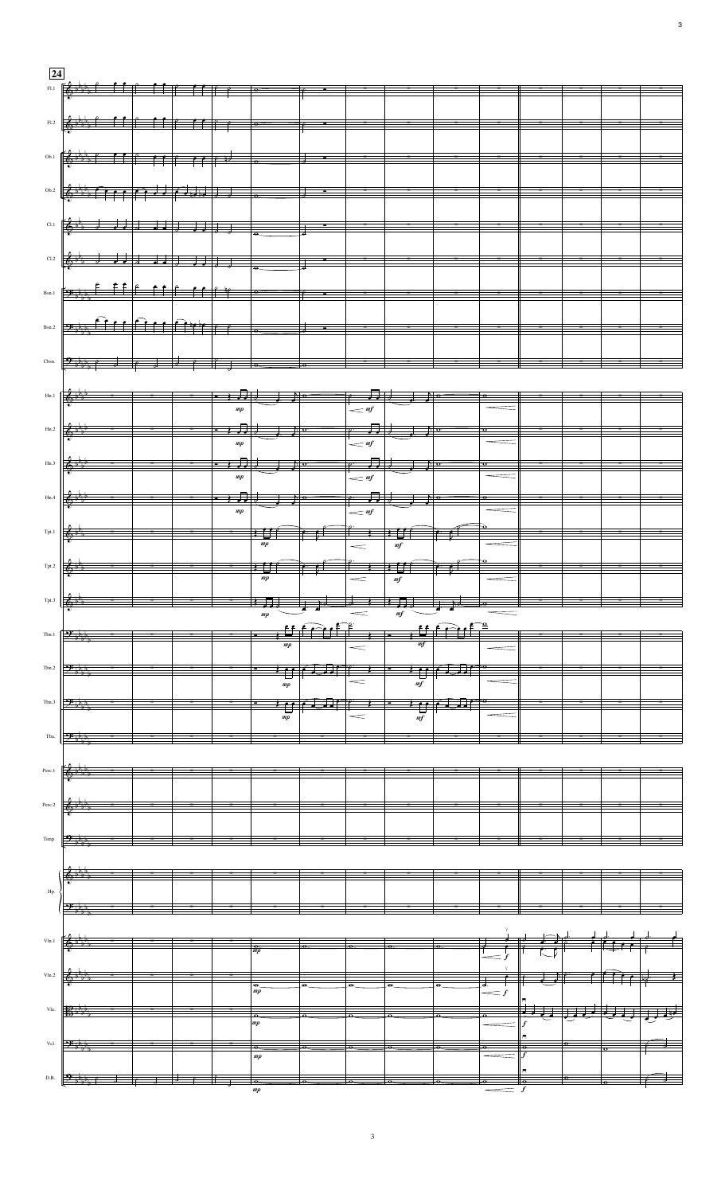| $\overline{24}$          |                                                                                                                                                                                                                                                                                                                     |                       |                      |                                                                                             |                                                                                                                                                              |                                      |                                    |                                                                                                                                                                                                                                                                                                                                                                                                                                                                                               |                                                                                                                               |                                    |            |              |                         |  |
|--------------------------|---------------------------------------------------------------------------------------------------------------------------------------------------------------------------------------------------------------------------------------------------------------------------------------------------------------------|-----------------------|----------------------|---------------------------------------------------------------------------------------------|--------------------------------------------------------------------------------------------------------------------------------------------------------------|--------------------------------------|------------------------------------|-----------------------------------------------------------------------------------------------------------------------------------------------------------------------------------------------------------------------------------------------------------------------------------------------------------------------------------------------------------------------------------------------------------------------------------------------------------------------------------------------|-------------------------------------------------------------------------------------------------------------------------------|------------------------------------|------------|--------------|-------------------------|--|
|                          | FI.1 6 3 3                                                                                                                                                                                                                                                                                                          |                       |                      |                                                                                             |                                                                                                                                                              |                                      |                                    |                                                                                                                                                                                                                                                                                                                                                                                                                                                                                               |                                                                                                                               |                                    |            |              |                         |  |
|                          |                                                                                                                                                                                                                                                                                                                     |                       |                      |                                                                                             |                                                                                                                                                              |                                      |                                    |                                                                                                                                                                                                                                                                                                                                                                                                                                                                                               |                                                                                                                               |                                    |            |              |                         |  |
|                          | $F1.2$ $6F1$                                                                                                                                                                                                                                                                                                        |                       |                      |                                                                                             | $\bullet$                                                                                                                                                    |                                      |                                    |                                                                                                                                                                                                                                                                                                                                                                                                                                                                                               |                                                                                                                               |                                    |            |              |                         |  |
|                          |                                                                                                                                                                                                                                                                                                                     |                       |                      |                                                                                             |                                                                                                                                                              |                                      |                                    |                                                                                                                                                                                                                                                                                                                                                                                                                                                                                               |                                                                                                                               |                                    |            |              |                         |  |
| $_{\rm Ob.1}$            | $\left[\substack{6}{5}\right]$                                                                                                                                                                                                                                                                                      | $\cdot \cdot$ $\cdot$ | $\ddot{\phantom{0}}$ | $\frac{1}{2}$                                                                               |                                                                                                                                                              |                                      |                                    |                                                                                                                                                                                                                                                                                                                                                                                                                                                                                               |                                                                                                                               |                                    |            |              |                         |  |
|                          |                                                                                                                                                                                                                                                                                                                     |                       |                      |                                                                                             |                                                                                                                                                              |                                      |                                    |                                                                                                                                                                                                                                                                                                                                                                                                                                                                                               |                                                                                                                               |                                    |            |              |                         |  |
| $_{\rm Ob.2}$            | <b>16</b>                                                                                                                                                                                                                                                                                                           |                       |                      |                                                                                             | $\overline{\ }$                                                                                                                                              | $\Box$                               |                                    |                                                                                                                                                                                                                                                                                                                                                                                                                                                                                               |                                                                                                                               |                                    |            |              |                         |  |
|                          |                                                                                                                                                                                                                                                                                                                     |                       |                      |                                                                                             |                                                                                                                                                              |                                      |                                    |                                                                                                                                                                                                                                                                                                                                                                                                                                                                                               |                                                                                                                               |                                    |            |              |                         |  |
|                          | C1.1                                                                                                                                                                                                                                                                                                                | $\frac{1}{2}$         | $\Rightarrow$        |                                                                                             |                                                                                                                                                              | Ţ                                    |                                    |                                                                                                                                                                                                                                                                                                                                                                                                                                                                                               |                                                                                                                               |                                    |            |              |                         |  |
|                          |                                                                                                                                                                                                                                                                                                                     |                       |                      |                                                                                             |                                                                                                                                                              | 秉<br>≖                               |                                    |                                                                                                                                                                                                                                                                                                                                                                                                                                                                                               |                                                                                                                               |                                    |            |              |                         |  |
|                          |                                                                                                                                                                                                                                                                                                                     |                       |                      |                                                                                             |                                                                                                                                                              |                                      |                                    |                                                                                                                                                                                                                                                                                                                                                                                                                                                                                               |                                                                                                                               |                                    |            |              |                         |  |
| $_{\rm {Bsn.l}}$         | $\frac{1}{2}$ $\frac{1}{2}$ $\frac{1}{2}$ $\frac{1}{2}$ $\frac{1}{2}$ $\frac{1}{2}$ $\frac{1}{2}$ $\frac{1}{2}$ $\frac{1}{2}$ $\frac{1}{2}$ $\frac{1}{2}$ $\frac{1}{2}$ $\frac{1}{2}$ $\frac{1}{2}$ $\frac{1}{2}$ $\frac{1}{2}$ $\frac{1}{2}$ $\frac{1}{2}$ $\frac{1}{2}$ $\frac{1}{2}$ $\frac{1}{2}$ $\frac{1}{2}$ |                       |                      |                                                                                             | $\rightarrow$                                                                                                                                                | $\uparrow$                           | <u>—</u>                           |                                                                                                                                                                                                                                                                                                                                                                                                                                                                                               |                                                                                                                               |                                    |            |              |                         |  |
|                          |                                                                                                                                                                                                                                                                                                                     |                       |                      |                                                                                             |                                                                                                                                                              |                                      |                                    |                                                                                                                                                                                                                                                                                                                                                                                                                                                                                               |                                                                                                                               |                                    |            |              |                         |  |
| $_{\rm Bsn.2}$           | $2\frac{1}{2}$                                                                                                                                                                                                                                                                                                      |                       | 0                    |                                                                                             |                                                                                                                                                              | Ξ.                                   |                                    |                                                                                                                                                                                                                                                                                                                                                                                                                                                                                               |                                                                                                                               |                                    |            |              |                         |  |
|                          |                                                                                                                                                                                                                                                                                                                     |                       |                      |                                                                                             |                                                                                                                                                              |                                      |                                    |                                                                                                                                                                                                                                                                                                                                                                                                                                                                                               |                                                                                                                               |                                    |            |              |                         |  |
| Cbsn.                    | $2\frac{1}{12}$                                                                                                                                                                                                                                                                                                     |                       |                      |                                                                                             |                                                                                                                                                              |                                      |                                    |                                                                                                                                                                                                                                                                                                                                                                                                                                                                                               |                                                                                                                               |                                    |            |              |                         |  |
|                          |                                                                                                                                                                                                                                                                                                                     |                       |                      |                                                                                             |                                                                                                                                                              |                                      |                                    |                                                                                                                                                                                                                                                                                                                                                                                                                                                                                               |                                                                                                                               |                                    |            |              |                         |  |
| $_{\rm Hn.1}$            | $\mathbb{R}^2$                                                                                                                                                                                                                                                                                                      |                       |                      | ⊢ः ∍                                                                                        |                                                                                                                                                              | $\mathbb{H}^{\overline{\mathbf{c}}}$ | $\overline{\phantom{a}}$           |                                                                                                                                                                                                                                                                                                                                                                                                                                                                                               |                                                                                                                               |                                    |            |              |                         |  |
|                          |                                                                                                                                                                                                                                                                                                                     |                       |                      | $\it{mp}$                                                                                   |                                                                                                                                                              |                                      | $\leq$ mf                          |                                                                                                                                                                                                                                                                                                                                                                                                                                                                                               |                                                                                                                               |                                    |            |              |                         |  |
| $_{\rm Hn.2}$            | 零                                                                                                                                                                                                                                                                                                                   |                       |                      | $\left  \cdot \right $                                                                      |                                                                                                                                                              | $\sum_{i=1}^{n}$                     | $\Box$                             | $\rightarrow$ $\sim$                                                                                                                                                                                                                                                                                                                                                                                                                                                                          |                                                                                                                               | $\mathbf{p}$                       |            |              |                         |  |
|                          |                                                                                                                                                                                                                                                                                                                     |                       |                      | $\it{mp}$                                                                                   |                                                                                                                                                              |                                      | $\leq$ mf                          |                                                                                                                                                                                                                                                                                                                                                                                                                                                                                               |                                                                                                                               |                                    |            |              |                         |  |
| $_{\rm Hn.3}$            | $\left\langle \phi \right\rangle^2$                                                                                                                                                                                                                                                                                 |                       |                      | र ग्री ह<br>н.<br>$\mathfrak{m}p$                                                           |                                                                                                                                                              | $\mathbf{o}$                         | $\sqrt{ }$<br>$\leq$ mf            |                                                                                                                                                                                                                                                                                                                                                                                                                                                                                               | $\mathbb{P}$ $\overline{\mathbb{P}}$                                                                                          | $\mathbf{o}$                       |            |              |                         |  |
|                          |                                                                                                                                                                                                                                                                                                                     |                       |                      |                                                                                             |                                                                                                                                                              |                                      |                                    |                                                                                                                                                                                                                                                                                                                                                                                                                                                                                               |                                                                                                                               |                                    |            |              |                         |  |
| $_{\rm Hn.4}$            | 6 <sup>1</sup>                                                                                                                                                                                                                                                                                                      |                       |                      | $\overline{\mathcal{E}}$ , $\overline{\mathcal{E}}$ , $\overline{\mathcal{E}}$<br>$\it{mp}$ |                                                                                                                                                              | $\rightarrow$                        | $\Box$<br>$\overline{\phantom{m}}$ |                                                                                                                                                                                                                                                                                                                                                                                                                                                                                               | $\frac{1}{2}$                                                                                                                 | $\mathbf{o}$                       |            |              |                         |  |
|                          |                                                                                                                                                                                                                                                                                                                     |                       |                      |                                                                                             |                                                                                                                                                              |                                      |                                    |                                                                                                                                                                                                                                                                                                                                                                                                                                                                                               |                                                                                                                               |                                    |            |              |                         |  |
| $_{\rm Tpt.1}$           | 16                                                                                                                                                                                                                                                                                                                  |                       |                      | ÷                                                                                           | $\begin{array}{c c c c c} \hline \bullet & \bullet & \bullet & \bullet & \bullet \\ \hline \hline \text{mp} & \text{mp} & \text{mp} & \text{mp} \end{array}$ |                                      | $=$                                | $\begin{tabular}{c c c c} \hline & & & & & & & \\ \hline & & & & & & \\ \hline & & & & & & \\ \hline & & & & & & \\ \hline & & & & & & \\ \hline & & & & & & \\ \hline & & & & & & \\ \hline & & & & & & \\ \hline & & & & & & \\ \hline & & & & & & \\ \hline & & & & & & \\ \hline & & & & & & \\ \hline & & & & & & \\ \hline & & & & & & \\ \hline & & & & & & & \\ \hline & & & & & & & \\ \hline & & & & & & & \\ \hline & & & & & & & \\ \hline & & & & & & & \\ \hline & & & & & & &$ |                                                                                                                               |                                    |            |              |                         |  |
| $\operatorname{Tpt.2}$   |                                                                                                                                                                                                                                                                                                                     |                       |                      |                                                                                             |                                                                                                                                                              |                                      |                                    |                                                                                                                                                                                                                                                                                                                                                                                                                                                                                               |                                                                                                                               |                                    |            |              |                         |  |
|                          | $\frac{6}{2}$                                                                                                                                                                                                                                                                                                       |                       |                      |                                                                                             | $\left  \cdot \right $<br>$\emph{mp}$                                                                                                                        |                                      | ⊫<br>$\prec$                       | m f                                                                                                                                                                                                                                                                                                                                                                                                                                                                                           |                                                                                                                               |                                    |            |              |                         |  |
| Tpt.3                    |                                                                                                                                                                                                                                                                                                                     |                       |                      |                                                                                             |                                                                                                                                                              |                                      |                                    |                                                                                                                                                                                                                                                                                                                                                                                                                                                                                               |                                                                                                                               |                                    |            |              |                         |  |
|                          | $\frac{1}{2}$                                                                                                                                                                                                                                                                                                       |                       |                      |                                                                                             | $\mathfrak{m}p$                                                                                                                                              |                                      |                                    | $\it mf$                                                                                                                                                                                                                                                                                                                                                                                                                                                                                      |                                                                                                                               |                                    |            |              |                         |  |
| Tbn.1                    | $2\,\mathrm{pc}$                                                                                                                                                                                                                                                                                                    |                       |                      |                                                                                             |                                                                                                                                                              |                                      |                                    | $\frac{1}{\frac{1}{1-\frac{1}{m f}}}$                                                                                                                                                                                                                                                                                                                                                                                                                                                         |                                                                                                                               | ਼ਿ≞                                |            |              |                         |  |
|                          |                                                                                                                                                                                                                                                                                                                     |                       |                      |                                                                                             | $\frac{1}{mp}$                                                                                                                                               |                                      |                                    |                                                                                                                                                                                                                                                                                                                                                                                                                                                                                               |                                                                                                                               |                                    |            |              |                         |  |
| Tbn.2                    | 笋西                                                                                                                                                                                                                                                                                                                  |                       |                      |                                                                                             |                                                                                                                                                              | 异                                    |                                    |                                                                                                                                                                                                                                                                                                                                                                                                                                                                                               |                                                                                                                               |                                    |            |              |                         |  |
|                          |                                                                                                                                                                                                                                                                                                                     |                       |                      |                                                                                             | $\frac{1}{\sqrt{np}}$                                                                                                                                        |                                      |                                    |                                                                                                                                                                                                                                                                                                                                                                                                                                                                                               | $\begin{array}{c c c c c} \hline \uparrow & \uparrow & \downarrow & \uparrow \\ \hline \text{inf} & \text{inf} & \end{array}$ |                                    |            |              |                         |  |
| Tbn.3                    | $\mathcal{P}$ , $\mathbb{P}_\parallel$                                                                                                                                                                                                                                                                              |                       |                      |                                                                                             | $\frac{1}{\frac{1}{mp}}$                                                                                                                                     |                                      |                                    | $\begin{picture}(20,20) \put(0,0){\vector(1,0){10}} \put(15,0){\vector(1,0){10}} \put(15,0){\vector(1,0){10}} \put(15,0){\vector(1,0){10}} \put(15,0){\vector(1,0){10}} \put(15,0){\vector(1,0){10}} \put(15,0){\vector(1,0){10}} \put(15,0){\vector(1,0){10}} \put(15,0){\vector(1,0){10}} \put(15,0){\vector(1,0){10}} \put(15,0){\vector(1,0){10}} \put(15,0){\vector(1$                                                                                                                   |                                                                                                                               |                                    |            |              |                         |  |
|                          |                                                                                                                                                                                                                                                                                                                     |                       |                      |                                                                                             |                                                                                                                                                              |                                      | $=$                                |                                                                                                                                                                                                                                                                                                                                                                                                                                                                                               |                                                                                                                               |                                    |            |              |                         |  |
| Tba.                     | $\mathcal{F}_{\frac{p+1}{2}}$                                                                                                                                                                                                                                                                                       |                       |                      |                                                                                             |                                                                                                                                                              |                                      |                                    |                                                                                                                                                                                                                                                                                                                                                                                                                                                                                               |                                                                                                                               |                                    |            |              |                         |  |
|                          |                                                                                                                                                                                                                                                                                                                     |                       |                      |                                                                                             |                                                                                                                                                              |                                      |                                    |                                                                                                                                                                                                                                                                                                                                                                                                                                                                                               |                                                                                                                               |                                    |            |              |                         |  |
| Perc.1                   | ՜ა⊧⊧                                                                                                                                                                                                                                                                                                                |                       |                      |                                                                                             |                                                                                                                                                              |                                      |                                    |                                                                                                                                                                                                                                                                                                                                                                                                                                                                                               |                                                                                                                               |                                    |            |              |                         |  |
|                          |                                                                                                                                                                                                                                                                                                                     |                       |                      |                                                                                             |                                                                                                                                                              |                                      |                                    |                                                                                                                                                                                                                                                                                                                                                                                                                                                                                               |                                                                                                                               |                                    |            |              |                         |  |
| Perc.2                   | $\phi^{\nu}$                                                                                                                                                                                                                                                                                                        |                       |                      |                                                                                             |                                                                                                                                                              |                                      |                                    |                                                                                                                                                                                                                                                                                                                                                                                                                                                                                               |                                                                                                                               |                                    |            |              |                         |  |
|                          |                                                                                                                                                                                                                                                                                                                     |                       |                      |                                                                                             |                                                                                                                                                              |                                      |                                    |                                                                                                                                                                                                                                                                                                                                                                                                                                                                                               |                                                                                                                               |                                    |            |              |                         |  |
| $\mbox{Timp.}$           | 2功                                                                                                                                                                                                                                                                                                                  |                       |                      |                                                                                             |                                                                                                                                                              |                                      |                                    |                                                                                                                                                                                                                                                                                                                                                                                                                                                                                               |                                                                                                                               |                                    |            |              |                         |  |
|                          |                                                                                                                                                                                                                                                                                                                     |                       |                      |                                                                                             |                                                                                                                                                              |                                      |                                    |                                                                                                                                                                                                                                                                                                                                                                                                                                                                                               |                                                                                                                               |                                    |            |              |                         |  |
| Hp.                      |                                                                                                                                                                                                                                                                                                                     |                       |                      |                                                                                             |                                                                                                                                                              |                                      |                                    |                                                                                                                                                                                                                                                                                                                                                                                                                                                                                               |                                                                                                                               |                                    |            |              |                         |  |
|                          |                                                                                                                                                                                                                                                                                                                     |                       |                      |                                                                                             |                                                                                                                                                              |                                      |                                    |                                                                                                                                                                                                                                                                                                                                                                                                                                                                                               |                                                                                                                               |                                    |            |              |                         |  |
|                          |                                                                                                                                                                                                                                                                                                                     |                       |                      |                                                                                             |                                                                                                                                                              |                                      |                                    |                                                                                                                                                                                                                                                                                                                                                                                                                                                                                               |                                                                                                                               |                                    |            |              |                         |  |
| $_{\rm Vln.1}$           | $\mathbb{C}^{p}$                                                                                                                                                                                                                                                                                                    |                       |                      |                                                                                             |                                                                                                                                                              |                                      |                                    |                                                                                                                                                                                                                                                                                                                                                                                                                                                                                               |                                                                                                                               |                                    |            |              |                         |  |
|                          |                                                                                                                                                                                                                                                                                                                     |                       |                      |                                                                                             | $\frac{\Omega}{mp}$                                                                                                                                          |                                      |                                    |                                                                                                                                                                                                                                                                                                                                                                                                                                                                                               |                                                                                                                               |                                    |            |              |                         |  |
| $_{\rm VIn.2}$           | $\phi^{\nu}$                                                                                                                                                                                                                                                                                                        |                       |                      |                                                                                             |                                                                                                                                                              |                                      |                                    |                                                                                                                                                                                                                                                                                                                                                                                                                                                                                               |                                                                                                                               |                                    |            |              |                         |  |
|                          |                                                                                                                                                                                                                                                                                                                     |                       |                      |                                                                                             | $\frac{\sigma}{mp}$                                                                                                                                          |                                      |                                    |                                                                                                                                                                                                                                                                                                                                                                                                                                                                                               | σ.                                                                                                                            | $\frac{1}{\sqrt{\frac{1}{n}}}\int$ |            |              |                         |  |
| $_{\rm Vla.}$            | $\mathbb{B}^{\flat}$                                                                                                                                                                                                                                                                                                |                       |                      |                                                                                             |                                                                                                                                                              |                                      |                                    |                                                                                                                                                                                                                                                                                                                                                                                                                                                                                               |                                                                                                                               |                                    |            |              |                         |  |
|                          |                                                                                                                                                                                                                                                                                                                     |                       |                      |                                                                                             | $\mathfrak{m}p$                                                                                                                                              |                                      |                                    |                                                                                                                                                                                                                                                                                                                                                                                                                                                                                               |                                                                                                                               |                                    |            |              |                         |  |
| Vcl.                     | $9\,\mathrm{pc}$                                                                                                                                                                                                                                                                                                    |                       |                      |                                                                                             | $\bullet$                                                                                                                                                    |                                      |                                    | ¢                                                                                                                                                                                                                                                                                                                                                                                                                                                                                             | $\bullet$                                                                                                                     |                                    | $\bullet$  | $\Omega$     | $\overline{\mathbf{o}}$ |  |
|                          |                                                                                                                                                                                                                                                                                                                     |                       |                      |                                                                                             | $_{\it mp}$                                                                                                                                                  |                                      |                                    |                                                                                                                                                                                                                                                                                                                                                                                                                                                                                               |                                                                                                                               |                                    |            |              |                         |  |
|                          |                                                                                                                                                                                                                                                                                                                     |                       |                      |                                                                                             |                                                                                                                                                              |                                      |                                    |                                                                                                                                                                                                                                                                                                                                                                                                                                                                                               |                                                                                                                               |                                    |            | $\mathbf{o}$ |                         |  |
| $\mathbf{D}.\mathbf{B}.$ | $\mathbb{P}_{\mathbb{B}}$                                                                                                                                                                                                                                                                                           |                       |                      |                                                                                             | $\emph{mp}$                                                                                                                                                  |                                      |                                    |                                                                                                                                                                                                                                                                                                                                                                                                                                                                                               |                                                                                                                               |                                    | $\ddot{f}$ |              |                         |  |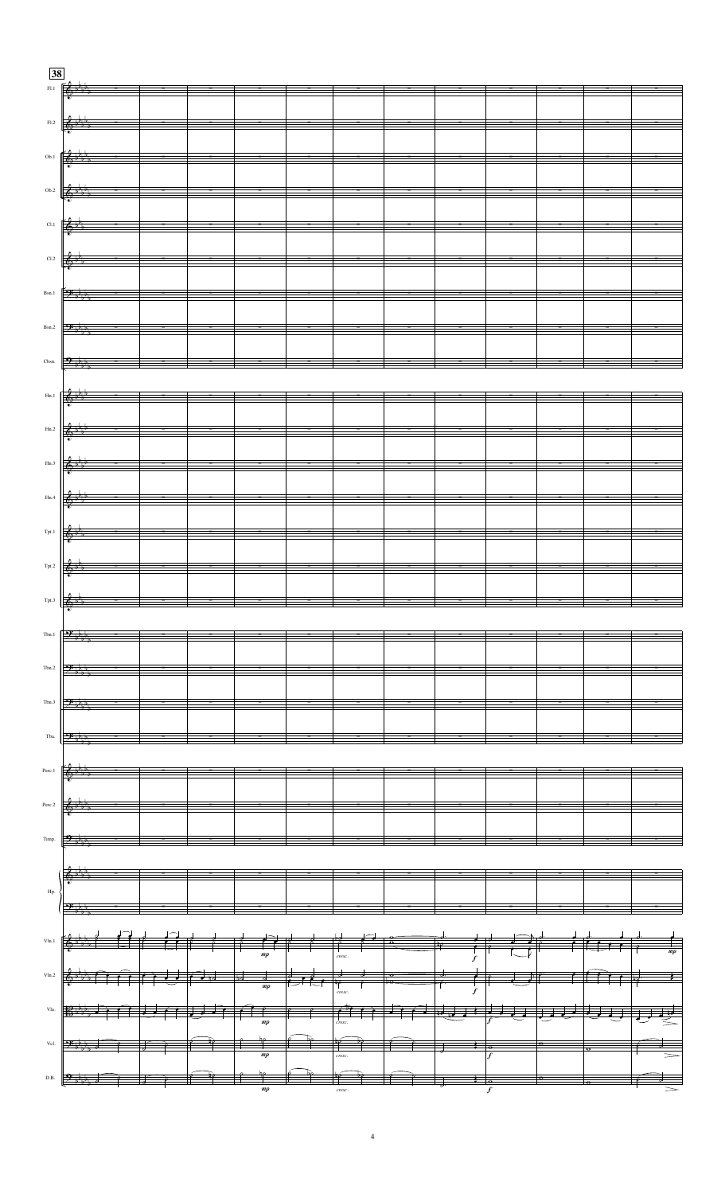| 38             |                                                                                                                                                                                                                                                                                                                                                                                                                                                                                                                                                                                    |                              |                                                                                                                                                                                                                                                                                                                                               |        |  |   |                                                                                                                                                                                                                                                                                                                                                                     |     |  |
|----------------|------------------------------------------------------------------------------------------------------------------------------------------------------------------------------------------------------------------------------------------------------------------------------------------------------------------------------------------------------------------------------------------------------------------------------------------------------------------------------------------------------------------------------------------------------------------------------------|------------------------------|-----------------------------------------------------------------------------------------------------------------------------------------------------------------------------------------------------------------------------------------------------------------------------------------------------------------------------------------------|--------|--|---|---------------------------------------------------------------------------------------------------------------------------------------------------------------------------------------------------------------------------------------------------------------------------------------------------------------------------------------------------------------------|-----|--|
| F1.1           |                                                                                                                                                                                                                                                                                                                                                                                                                                                                                                                                                                                    |                              |                                                                                                                                                                                                                                                                                                                                               |        |  |   |                                                                                                                                                                                                                                                                                                                                                                     |     |  |
|                | F1.2                                                                                                                                                                                                                                                                                                                                                                                                                                                                                                                                                                               | $\sim$ $\sim$                |                                                                                                                                                                                                                                                                                                                                               |        |  |   |                                                                                                                                                                                                                                                                                                                                                                     |     |  |
|                |                                                                                                                                                                                                                                                                                                                                                                                                                                                                                                                                                                                    |                              |                                                                                                                                                                                                                                                                                                                                               |        |  |   |                                                                                                                                                                                                                                                                                                                                                                     |     |  |
|                | $^{0b.1}$ $\left[\frac{2}{9}$                                                                                                                                                                                                                                                                                                                                                                                                                                                                                                                                                      |                              |                                                                                                                                                                                                                                                                                                                                               |        |  |   |                                                                                                                                                                                                                                                                                                                                                                     |     |  |
|                |                                                                                                                                                                                                                                                                                                                                                                                                                                                                                                                                                                                    |                              |                                                                                                                                                                                                                                                                                                                                               |        |  |   |                                                                                                                                                                                                                                                                                                                                                                     |     |  |
|                | $00.2$ $\left[\frac{1}{2}$ $\frac{1}{2}$ $\frac{1}{2}$                                                                                                                                                                                                                                                                                                                                                                                                                                                                                                                             |                              |                                                                                                                                                                                                                                                                                                                                               |        |  |   |                                                                                                                                                                                                                                                                                                                                                                     |     |  |
|                | $CL1$ $\left  \bigoplus_{i=1}^{n} \frac{1}{i} \right $                                                                                                                                                                                                                                                                                                                                                                                                                                                                                                                             |                              |                                                                                                                                                                                                                                                                                                                                               |        |  |   |                                                                                                                                                                                                                                                                                                                                                                     |     |  |
|                |                                                                                                                                                                                                                                                                                                                                                                                                                                                                                                                                                                                    |                              |                                                                                                                                                                                                                                                                                                                                               |        |  |   |                                                                                                                                                                                                                                                                                                                                                                     |     |  |
|                | $C1.2$ $8V$                                                                                                                                                                                                                                                                                                                                                                                                                                                                                                                                                                        |                              |                                                                                                                                                                                                                                                                                                                                               |        |  |   |                                                                                                                                                                                                                                                                                                                                                                     |     |  |
|                |                                                                                                                                                                                                                                                                                                                                                                                                                                                                                                                                                                                    |                              |                                                                                                                                                                                                                                                                                                                                               |        |  |   |                                                                                                                                                                                                                                                                                                                                                                     |     |  |
| $_{\rm Bsn.l}$ | $\mathbb{P}_{\mathbb{P}\mathbb{R}}$                                                                                                                                                                                                                                                                                                                                                                                                                                                                                                                                                |                              |                                                                                                                                                                                                                                                                                                                                               |        |  |   |                                                                                                                                                                                                                                                                                                                                                                     |     |  |
| $_{\rm Bsn.2}$ |                                                                                                                                                                                                                                                                                                                                                                                                                                                                                                                                                                                    |                              |                                                                                                                                                                                                                                                                                                                                               |        |  |   |                                                                                                                                                                                                                                                                                                                                                                     |     |  |
|                |                                                                                                                                                                                                                                                                                                                                                                                                                                                                                                                                                                                    |                              |                                                                                                                                                                                                                                                                                                                                               |        |  |   |                                                                                                                                                                                                                                                                                                                                                                     |     |  |
| Cbsn.          | $\mathcal{P}$ , $\mathcal{P}$                                                                                                                                                                                                                                                                                                                                                                                                                                                                                                                                                      |                              |                                                                                                                                                                                                                                                                                                                                               |        |  |   |                                                                                                                                                                                                                                                                                                                                                                     |     |  |
|                |                                                                                                                                                                                                                                                                                                                                                                                                                                                                                                                                                                                    |                              |                                                                                                                                                                                                                                                                                                                                               |        |  |   |                                                                                                                                                                                                                                                                                                                                                                     |     |  |
|                | $\frac{Hn.1}{100}$                                                                                                                                                                                                                                                                                                                                                                                                                                                                                                                                                                 |                              |                                                                                                                                                                                                                                                                                                                                               |        |  |   |                                                                                                                                                                                                                                                                                                                                                                     |     |  |
|                | $\frac{\text{Hn.2}}{1}$                                                                                                                                                                                                                                                                                                                                                                                                                                                                                                                                                            |                              |                                                                                                                                                                                                                                                                                                                                               |        |  |   |                                                                                                                                                                                                                                                                                                                                                                     |     |  |
|                |                                                                                                                                                                                                                                                                                                                                                                                                                                                                                                                                                                                    |                              |                                                                                                                                                                                                                                                                                                                                               |        |  |   |                                                                                                                                                                                                                                                                                                                                                                     |     |  |
|                | $\lim_{b \to 0}$ $\frac{1}{2}$ $\frac{1}{2}$ $\frac{1}{2}$ $\frac{1}{2}$ $\frac{1}{2}$ $\frac{1}{2}$ $\frac{1}{2}$ $\frac{1}{2}$ $\frac{1}{2}$ $\frac{1}{2}$ $\frac{1}{2}$ $\frac{1}{2}$ $\frac{1}{2}$ $\frac{1}{2}$ $\frac{1}{2}$ $\frac{1}{2}$ $\frac{1}{2}$ $\frac{1}{2}$ $\frac{1}{2}$ $\frac{1}{2}$ $\frac{1}{2}$                                                                                                                                                                                                                                                             |                              |                                                                                                                                                                                                                                                                                                                                               |        |  |   |                                                                                                                                                                                                                                                                                                                                                                     |     |  |
|                |                                                                                                                                                                                                                                                                                                                                                                                                                                                                                                                                                                                    |                              |                                                                                                                                                                                                                                                                                                                                               |        |  |   |                                                                                                                                                                                                                                                                                                                                                                     |     |  |
| $_{\rm Hn.4}$  | $\frac{1}{2}$                                                                                                                                                                                                                                                                                                                                                                                                                                                                                                                                                                      |                              |                                                                                                                                                                                                                                                                                                                                               |        |  |   |                                                                                                                                                                                                                                                                                                                                                                     |     |  |
|                |                                                                                                                                                                                                                                                                                                                                                                                                                                                                                                                                                                                    |                              |                                                                                                                                                                                                                                                                                                                                               |        |  |   |                                                                                                                                                                                                                                                                                                                                                                     |     |  |
|                | $T_{\text{pt.1}}$ $\left \left  \bigoplus_{i=1}^{n} \frac{1}{2} \right  \right $                                                                                                                                                                                                                                                                                                                                                                                                                                                                                                   |                              |                                                                                                                                                                                                                                                                                                                                               |        |  |   |                                                                                                                                                                                                                                                                                                                                                                     |     |  |
|                | $\frac{Tpt.2}{\frac{1}{2}}$                                                                                                                                                                                                                                                                                                                                                                                                                                                                                                                                                        |                              |                                                                                                                                                                                                                                                                                                                                               |        |  |   |                                                                                                                                                                                                                                                                                                                                                                     |     |  |
|                |                                                                                                                                                                                                                                                                                                                                                                                                                                                                                                                                                                                    |                              |                                                                                                                                                                                                                                                                                                                                               |        |  |   |                                                                                                                                                                                                                                                                                                                                                                     |     |  |
|                | Tpt.3<br>$\sim$ $\sim$                                                                                                                                                                                                                                                                                                                                                                                                                                                                                                                                                             | <del>- 100 - 100 - 100</del> | $\overline{\phantom{a}}$                                                                                                                                                                                                                                                                                                                      | $\sim$ |  | - |                                                                                                                                                                                                                                                                                                                                                                     | $-$ |  |
|                |                                                                                                                                                                                                                                                                                                                                                                                                                                                                                                                                                                                    |                              |                                                                                                                                                                                                                                                                                                                                               |        |  |   |                                                                                                                                                                                                                                                                                                                                                                     |     |  |
| Tbn.1          |                                                                                                                                                                                                                                                                                                                                                                                                                                                                                                                                                                                    |                              |                                                                                                                                                                                                                                                                                                                                               |        |  |   |                                                                                                                                                                                                                                                                                                                                                                     |     |  |
| Tbn.2          | $\mathcal{P} \mathcal{P}$                                                                                                                                                                                                                                                                                                                                                                                                                                                                                                                                                          |                              |                                                                                                                                                                                                                                                                                                                                               |        |  |   |                                                                                                                                                                                                                                                                                                                                                                     |     |  |
|                |                                                                                                                                                                                                                                                                                                                                                                                                                                                                                                                                                                                    |                              |                                                                                                                                                                                                                                                                                                                                               |        |  |   |                                                                                                                                                                                                                                                                                                                                                                     |     |  |
| Tbn.3          | $\mathcal{P}$                                                                                                                                                                                                                                                                                                                                                                                                                                                                                                                                                                      |                              |                                                                                                                                                                                                                                                                                                                                               |        |  |   |                                                                                                                                                                                                                                                                                                                                                                     |     |  |
| Tba.           |                                                                                                                                                                                                                                                                                                                                                                                                                                                                                                                                                                                    |                              |                                                                                                                                                                                                                                                                                                                                               |        |  |   |                                                                                                                                                                                                                                                                                                                                                                     |     |  |
|                | $\mathbb{P}_{\mathbb{P}^{\mathbb{R}}}$                                                                                                                                                                                                                                                                                                                                                                                                                                                                                                                                             |                              |                                                                                                                                                                                                                                                                                                                                               |        |  |   |                                                                                                                                                                                                                                                                                                                                                                     |     |  |
|                | Perc.1 $\left[\begin{array}{ccc} \left\{\begin{array}{ccc} \left\{\begin{array}{ccc} \left\{\begin{array}{ccc} \left\{\begin{array}{ccc} \left\{\begin{array}{ccc} \left\{\begin{array}{ccc} \left\{\begin{array}{ccc} \left\{\begin{array}{ccc} \left\{\begin{array}{ccc} \left\{\begin{array}{ccc} \left\{\begin{array}{ccc} \left\{\begin{array}{ccc} \left\{\begin{array}{ccc} \left\{\begin{array}{ccc} \left\{\begin{array}{ccc} \left\{\begin{array}{ccc} \left\{\begin{array}{ccc} \left\{\begin{array}{ccc} \left\{\begin{array}{ccc} \left\{\begin{array}{ccc} \left\{\$ |                              |                                                                                                                                                                                                                                                                                                                                               |        |  |   |                                                                                                                                                                                                                                                                                                                                                                     |     |  |
|                |                                                                                                                                                                                                                                                                                                                                                                                                                                                                                                                                                                                    |                              |                                                                                                                                                                                                                                                                                                                                               |        |  |   |                                                                                                                                                                                                                                                                                                                                                                     |     |  |
|                | Perc.2 $\left(\begin{array}{ccc} \bullet & \bullet & \bullet \\ \bullet & \bullet & \bullet \end{array}\right)$                                                                                                                                                                                                                                                                                                                                                                                                                                                                    |                              |                                                                                                                                                                                                                                                                                                                                               |        |  |   |                                                                                                                                                                                                                                                                                                                                                                     |     |  |
| Timp.          | $\mathcal{P}$                                                                                                                                                                                                                                                                                                                                                                                                                                                                                                                                                                      |                              |                                                                                                                                                                                                                                                                                                                                               |        |  |   |                                                                                                                                                                                                                                                                                                                                                                     |     |  |
|                |                                                                                                                                                                                                                                                                                                                                                                                                                                                                                                                                                                                    |                              |                                                                                                                                                                                                                                                                                                                                               |        |  |   |                                                                                                                                                                                                                                                                                                                                                                     |     |  |
|                |                                                                                                                                                                                                                                                                                                                                                                                                                                                                                                                                                                                    |                              |                                                                                                                                                                                                                                                                                                                                               |        |  |   |                                                                                                                                                                                                                                                                                                                                                                     |     |  |
| Hp.            |                                                                                                                                                                                                                                                                                                                                                                                                                                                                                                                                                                                    |                              |                                                                                                                                                                                                                                                                                                                                               |        |  |   |                                                                                                                                                                                                                                                                                                                                                                     |     |  |
|                | $\mathcal{P}$                                                                                                                                                                                                                                                                                                                                                                                                                                                                                                                                                                      |                              |                                                                                                                                                                                                                                                                                                                                               |        |  |   |                                                                                                                                                                                                                                                                                                                                                                     |     |  |
|                |                                                                                                                                                                                                                                                                                                                                                                                                                                                                                                                                                                                    |                              |                                                                                                                                                                                                                                                                                                                                               |        |  |   |                                                                                                                                                                                                                                                                                                                                                                     |     |  |
|                | $\mathbf{v}_{\text{in.1}} = \begin{bmatrix} \frac{1}{2} & \frac{1}{2} & \frac{1}{2} & \frac{1}{2} & \frac{1}{2} & \frac{1}{2} & \frac{1}{2} & \frac{1}{2} & \frac{1}{2} & \frac{1}{2} & \frac{1}{2} & \frac{1}{2} & \frac{1}{2} & \frac{1}{2} & \frac{1}{2} & \frac{1}{2} & \frac{1}{2} & \frac{1}{2} & \frac{1}{2} & \frac{1}{2} & \frac{1}{2} & \frac{1}{2} & \frac{1}{2} & \frac{1}{2} & \frac{1}{2} &$                                                                                                                                                                         |                              |                                                                                                                                                                                                                                                                                                                                               |        |  |   |                                                                                                                                                                                                                                                                                                                                                                     |     |  |
|                |                                                                                                                                                                                                                                                                                                                                                                                                                                                                                                                                                                                    |                              |                                                                                                                                                                                                                                                                                                                                               |        |  |   |                                                                                                                                                                                                                                                                                                                                                                     |     |  |
|                |                                                                                                                                                                                                                                                                                                                                                                                                                                                                                                                                                                                    |                              |                                                                                                                                                                                                                                                                                                                                               |        |  |   |                                                                                                                                                                                                                                                                                                                                                                     |     |  |
| $_{\rm Vla.}$  | $\left  \frac{1}{\left  \frac{1}{\left  \frac{1}{\left  \frac{1}{\left  \frac{1}{\left  \frac{1}{\left  \frac{1}{\left  \frac{1}{\left  \frac{1}{\left  \frac{1}{\left  \frac{1}{\left  \frac{1}{\left  \frac{1}{\left  \frac{1}{\left  \frac{1}{\left  \frac{1}{\left  \frac{1}{\left  \frac{1}{\left  \frac{1}{\left  \frac{1}{\left  \frac{1}{\left  \frac{1}{\left  \frac{1}{\left  \frac{1}{\left  \frac{1}{\left  \frac{1}{\left  \frac{1}{\left  \$                                                                                                                         |                              |                                                                                                                                                                                                                                                                                                                                               |        |  |   |                                                                                                                                                                                                                                                                                                                                                                     |     |  |
|                |                                                                                                                                                                                                                                                                                                                                                                                                                                                                                                                                                                                    |                              |                                                                                                                                                                                                                                                                                                                                               |        |  |   |                                                                                                                                                                                                                                                                                                                                                                     |     |  |
| Vcl.           | $\mathcal{P} \mathcal{P}_{\mathcal{P}_{\mathcal{P}}}$ ,                                                                                                                                                                                                                                                                                                                                                                                                                                                                                                                            |                              | $\begin{picture}(20,20) \put(0,0){\line(1,0){100}} \put(15,0){\line(1,0){100}} \put(15,0){\line(1,0){100}} \put(15,0){\line(1,0){100}} \put(15,0){\line(1,0){100}} \put(15,0){\line(1,0){100}} \put(15,0){\line(1,0){100}} \put(15,0){\line(1,0){100}} \put(15,0){\line(1,0){100}} \put(15,0){\line(1,0){100}} \put(15,0){\line(1,0){100}} \$ |        |  |   | $\frac{1}{\sqrt{2\pi}}$ $\frac{1}{\sqrt{2\pi}}$ $\frac{1}{\sqrt{2\pi}}$ $\frac{1}{\sqrt{2\pi}}$ $\frac{1}{\sqrt{2\pi}}$ $\frac{1}{\sqrt{2\pi}}$ $\frac{1}{\sqrt{2\pi}}$ $\frac{1}{\sqrt{2\pi}}$ $\frac{1}{\sqrt{2\pi}}$ $\frac{1}{\sqrt{2\pi}}$ $\frac{1}{\sqrt{2\pi}}$ $\frac{1}{\sqrt{2\pi}}$ $\frac{1}{\sqrt{2\pi}}$ $\frac{1}{\sqrt{2\pi}}$ $\frac{1}{\sqrt{2\$ |     |  |
|                |                                                                                                                                                                                                                                                                                                                                                                                                                                                                                                                                                                                    |                              |                                                                                                                                                                                                                                                                                                                                               |        |  |   |                                                                                                                                                                                                                                                                                                                                                                     |     |  |
|                |                                                                                                                                                                                                                                                                                                                                                                                                                                                                                                                                                                                    |                              |                                                                                                                                                                                                                                                                                                                                               |        |  |   |                                                                                                                                                                                                                                                                                                                                                                     |     |  |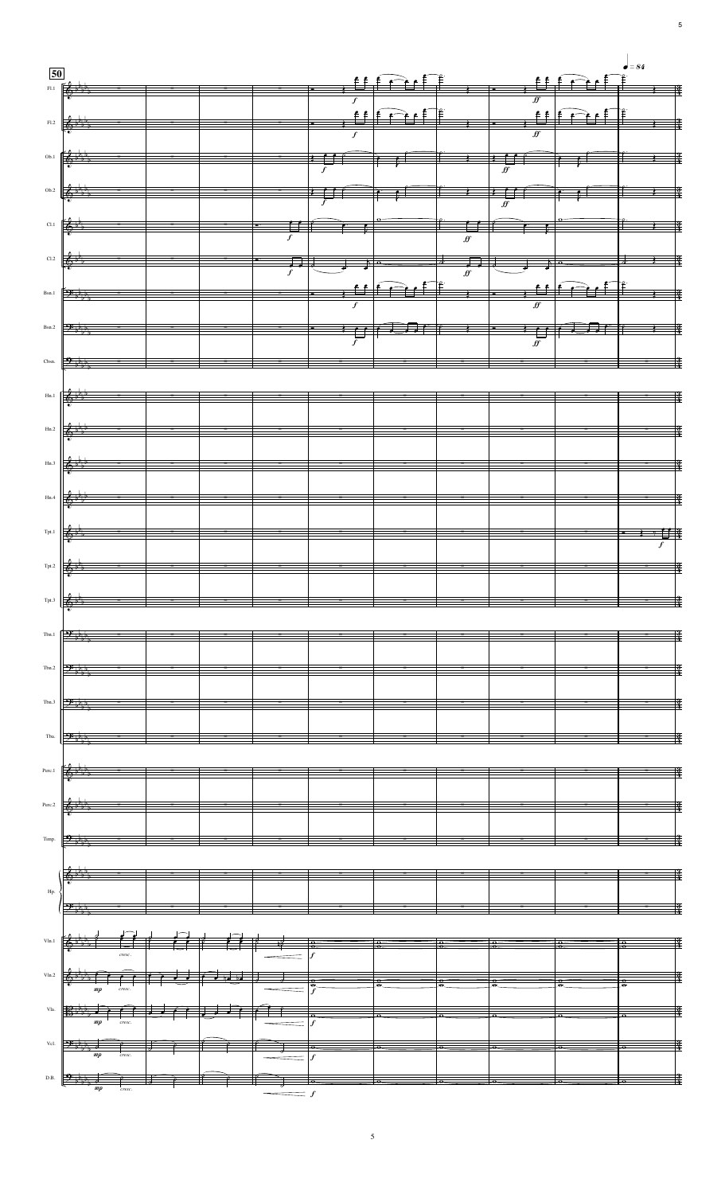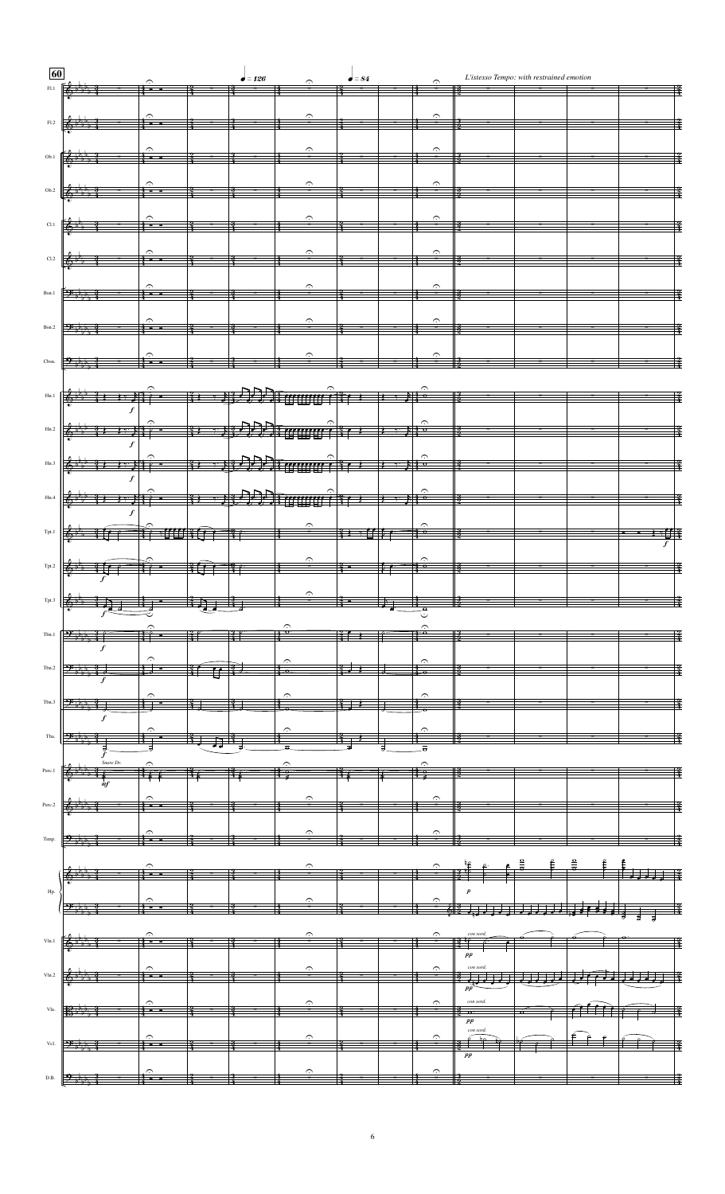| $\overline{60}$<br>$\rm{F}l.1$ |                                                                                                                                                                                    |                                                                                                                                                                                                                                                                                                                                                       |               |                             |                                                                                                                                                                                                                                                                                                                     | $=84$                                                                               |       |                             | L'istesso Tempo: with restrained emotion                                                                                                                                                                                                                                                                            |   |                          |                                                                       |               |
|--------------------------------|------------------------------------------------------------------------------------------------------------------------------------------------------------------------------------|-------------------------------------------------------------------------------------------------------------------------------------------------------------------------------------------------------------------------------------------------------------------------------------------------------------------------------------------------------|---------------|-----------------------------|---------------------------------------------------------------------------------------------------------------------------------------------------------------------------------------------------------------------------------------------------------------------------------------------------------------------|-------------------------------------------------------------------------------------|-------|-----------------------------|---------------------------------------------------------------------------------------------------------------------------------------------------------------------------------------------------------------------------------------------------------------------------------------------------------------------|---|--------------------------|-----------------------------------------------------------------------|---------------|
|                                |                                                                                                                                                                                    |                                                                                                                                                                                                                                                                                                                                                       |               |                             |                                                                                                                                                                                                                                                                                                                     |                                                                                     |       |                             |                                                                                                                                                                                                                                                                                                                     |   |                          |                                                                       |               |
| FL.2                           |                                                                                                                                                                                    |                                                                                                                                                                                                                                                                                                                                                       |               |                             |                                                                                                                                                                                                                                                                                                                     |                                                                                     |       |                             |                                                                                                                                                                                                                                                                                                                     |   |                          |                                                                       |               |
| $_{\rm Ob.1}$                  |                                                                                                                                                                                    |                                                                                                                                                                                                                                                                                                                                                       |               |                             |                                                                                                                                                                                                                                                                                                                     |                                                                                     |       |                             |                                                                                                                                                                                                                                                                                                                     |   |                          |                                                                       |               |
| $_{\rm Ob.2}$                  |                                                                                                                                                                                    |                                                                                                                                                                                                                                                                                                                                                       |               |                             |                                                                                                                                                                                                                                                                                                                     |                                                                                     |       |                             |                                                                                                                                                                                                                                                                                                                     |   |                          |                                                                       |               |
|                                |                                                                                                                                                                                    |                                                                                                                                                                                                                                                                                                                                                       |               |                             |                                                                                                                                                                                                                                                                                                                     |                                                                                     |       |                             |                                                                                                                                                                                                                                                                                                                     |   |                          |                                                                       |               |
| $\rm C1.1$                     | $\mathbb{K}^{\mathbb{P}_{\mathbb{Z}}}$                                                                                                                                             | $\frac{1}{2}$                                                                                                                                                                                                                                                                                                                                         |               |                             |                                                                                                                                                                                                                                                                                                                     |                                                                                     |       |                             |                                                                                                                                                                                                                                                                                                                     |   |                          |                                                                       |               |
| Cl.2                           |                                                                                                                                                                                    | $\frac{1}{4}$                                                                                                                                                                                                                                                                                                                                         |               | $\frac{3}{4}$ -             | $\exists 1$                                                                                                                                                                                                                                                                                                         | $\frac{2}{3}$ $\frac{1}{3}$ $\frac{1}{3}$                                           |       | $\triangle$                 |                                                                                                                                                                                                                                                                                                                     |   |                          |                                                                       |               |
| Bsn.1                          | 9.1                                                                                                                                                                                |                                                                                                                                                                                                                                                                                                                                                       |               |                             |                                                                                                                                                                                                                                                                                                                     |                                                                                     |       |                             |                                                                                                                                                                                                                                                                                                                     |   |                          |                                                                       |               |
| $_{\rm Bsn.2}$                 | $\mathcal{P}$ , $\mathbb{P}_\mathbb{P}$                                                                                                                                            |                                                                                                                                                                                                                                                                                                                                                       |               |                             |                                                                                                                                                                                                                                                                                                                     |                                                                                     | $  4$ |                             |                                                                                                                                                                                                                                                                                                                     |   |                          |                                                                       |               |
|                                |                                                                                                                                                                                    |                                                                                                                                                                                                                                                                                                                                                       |               |                             |                                                                                                                                                                                                                                                                                                                     |                                                                                     |       |                             |                                                                                                                                                                                                                                                                                                                     |   |                          |                                                                       |               |
| Cbsn.                          |                                                                                                                                                                                    |                                                                                                                                                                                                                                                                                                                                                       |               |                             |                                                                                                                                                                                                                                                                                                                     |                                                                                     |       |                             |                                                                                                                                                                                                                                                                                                                     |   |                          |                                                                       |               |
| Hn.1                           | $6^{3}$                                                                                                                                                                            |                                                                                                                                                                                                                                                                                                                                                       |               |                             | <u> 1000   1000   1000   1000   1000   1000   1000   1000   1000   1000   1000   1000   1000   1000   1000   100</u>                                                                                                                                                                                                |                                                                                     |       |                             |                                                                                                                                                                                                                                                                                                                     |   |                          |                                                                       |               |
| $_{\rm Hn.2}$                  | $8+32+17$                                                                                                                                                                          |                                                                                                                                                                                                                                                                                                                                                       |               |                             |                                                                                                                                                                                                                                                                                                                     |                                                                                     |       |                             | ₩                                                                                                                                                                                                                                                                                                                   |   |                          |                                                                       |               |
| $\rm Hn.3$                     | $\frac{3}{4}$ : $\sqrt[3]{1}$ -                                                                                                                                                    |                                                                                                                                                                                                                                                                                                                                                       |               |                             | $ i \cdot k $                                                                                                                                                                                                                                                                                                       |                                                                                     |       |                             |                                                                                                                                                                                                                                                                                                                     |   |                          |                                                                       |               |
|                                |                                                                                                                                                                                    |                                                                                                                                                                                                                                                                                                                                                       |               |                             |                                                                                                                                                                                                                                                                                                                     |                                                                                     |       |                             |                                                                                                                                                                                                                                                                                                                     |   |                          |                                                                       |               |
| Hn.4                           |                                                                                                                                                                                    |                                                                                                                                                                                                                                                                                                                                                       |               |                             |                                                                                                                                                                                                                                                                                                                     |                                                                                     |       |                             |                                                                                                                                                                                                                                                                                                                     |   |                          |                                                                       |               |
| Tpt.1                          | $\sqrt[3]{\mathcal{C}}$<br>$\left\langle \phi \right\rangle^p$                                                                                                                     | $\frac{1}{2}$ $\frac{1}{2}$ $\frac{1}{2}$ $\frac{1}{2}$ $\frac{1}{2}$ $\frac{1}{2}$ $\frac{1}{2}$ $\frac{1}{2}$                                                                                                                                                                                                                                       |               |                             | $\rightarrow$                                                                                                                                                                                                                                                                                                       | $\frac{2}{3}$ $\frac{1}{2}$ $\frac{1}{2}$ $\frac{1}{2}$ $\frac{1}{2}$ $\frac{1}{2}$ |       | Ê                           | $\mathbb{B}$                                                                                                                                                                                                                                                                                                        |   |                          | $\left  \cdot \right $ $\left  \cdot \right $<br>≂                    |               |
| $\operatorname{Tpt.2}$         | $\mathbb{R}^{p}$                                                                                                                                                                   | $\frac{3}{4}$ $\left( \frac{1}{4} \right)$ $-\frac{3}{4}$ $\left( \frac{3}{4} \right)$ $-\frac{3}{4}$ $-\frac{3}{4}$ $-\frac{3}{4}$ $-\frac{3}{4}$ $-\frac{3}{4}$ $-\frac{3}{4}$ $-\frac{3}{4}$ $-\frac{3}{4}$ $-\frac{3}{4}$ $-\frac{3}{4}$ $-\frac{3}{4}$ $-\frac{3}{4}$ $-\frac{3}{4}$ $-\frac{3}{4}$ $-\frac{3}{4}$ $-\frac{3}{4}$ $-\frac{3}{4}$ |               |                             | $\begin{array}{ c c c c c c }\hline \textbf{1} & \textbf{1} & \textbf{1} & \textbf{1} & \textbf{1} \\ \hline \textbf{2} & \textbf{3} & \textbf{2} & \textbf{1} & \textbf{1} & \textbf{1} \\ \hline \textbf{3} & \textbf{1} & \textbf{1} & \textbf{1} & \textbf{1} & \textbf{1} \\ \hline \end{array}$               |                                                                                     |       |                             |                                                                                                                                                                                                                                                                                                                     |   |                          |                                                                       |               |
|                                |                                                                                                                                                                                    |                                                                                                                                                                                                                                                                                                                                                       |               | $\frac{1}{2}$               | $\frac{1}{4}$ $\frac{1}{4}$                                                                                                                                                                                                                                                                                         |                                                                                     |       |                             | ₽                                                                                                                                                                                                                                                                                                                   |   |                          |                                                                       | $\frac{1}{4}$ |
|                                | $T_{\text{p1,3}}$ $\left[\begin{array}{ccc} 1 & 1 & 1 \\ 1 & 1 & 1 \\ 0 & 0 & 1 \end{array}\right]$                                                                                |                                                                                                                                                                                                                                                                                                                                                       |               |                             |                                                                                                                                                                                                                                                                                                                     |                                                                                     |       |                             |                                                                                                                                                                                                                                                                                                                     |   |                          |                                                                       |               |
|                                | Tbn.1 $\left[\frac{9!}{2^2}\right]^{\frac{1}{2}}$                                                                                                                                  |                                                                                                                                                                                                                                                                                                                                                       | $\frac{3}{4}$ |                             | $\mathbb{H}^{\frac{1}{\alpha}}$                                                                                                                                                                                                                                                                                     | $\frac{2}{3}$ $\left  \frac{3}{4} \right $                                          |       |                             |                                                                                                                                                                                                                                                                                                                     |   |                          |                                                                       | $\frac{2}{4}$ |
| Tbn.2                          |                                                                                                                                                                                    |                                                                                                                                                                                                                                                                                                                                                       |               |                             |                                                                                                                                                                                                                                                                                                                     | $\frac{1}{2}$ $\frac{1}{2}$ $\frac{1}{2}$                                           |       | $\frac{1}{1}$               |                                                                                                                                                                                                                                                                                                                     |   |                          |                                                                       | 疂             |
| $_{\rm Tbn.3}$                 | $\left( \mathbf{P}_{\mathbf{p}}\right) _{\mathbf{p}},\mathbf{P}_{\mathbf{p}}$                                                                                                      | $\frac{3}{4}$ $\frac{3}{4}$                                                                                                                                                                                                                                                                                                                           |               |                             |                                                                                                                                                                                                                                                                                                                     |                                                                                     |       |                             | ₽                                                                                                                                                                                                                                                                                                                   |   |                          |                                                                       |               |
| Tba.                           | $2 + 3$                                                                                                                                                                            |                                                                                                                                                                                                                                                                                                                                                       |               |                             |                                                                                                                                                                                                                                                                                                                     |                                                                                     |       |                             |                                                                                                                                                                                                                                                                                                                     |   |                          | $\frac{2}{4}$                                                         |               |
|                                |                                                                                                                                                                                    |                                                                                                                                                                                                                                                                                                                                                       |               |                             |                                                                                                                                                                                                                                                                                                                     |                                                                                     |       |                             |                                                                                                                                                                                                                                                                                                                     |   |                          |                                                                       |               |
|                                | Perc.1 $\left[\begin{array}{ccc} \frac{1}{2} & \frac{1}{2} & \frac{1}{2} \\ \frac{1}{2} & \frac{1}{2} & \frac{1}{2} \\ \frac{1}{2} & \frac{1}{2} & \frac{1}{2} \end{array}\right]$ |                                                                                                                                                                                                                                                                                                                                                       | $\frac{3}{4}$ |                             | $\frac{1}{2}$                                                                                                                                                                                                                                                                                                       | $\frac{1}{2}$                                                                       |       | $\frac{1}{4}$ $\frac{6}{5}$ |                                                                                                                                                                                                                                                                                                                     |   |                          |                                                                       |               |
| Perc.2                         | $\left(6^{3}$ <sup>b</sup> <sub>b</sub> 3 =                                                                                                                                        | $\frac{3}{4}$ - $\frac{2}{3}$ - $\frac{3}{4}$ - $\frac{1}{4}$                                                                                                                                                                                                                                                                                         |               |                             |                                                                                                                                                                                                                                                                                                                     |                                                                                     |       |                             | $\exists$<br>$\overline{\phantom{a}}$                                                                                                                                                                                                                                                                               | ÷ | $\overline{\phantom{a}}$ |                                                                       |               |
| Timp.                          | $2\frac{1}{2}$                                                                                                                                                                     | $\frac{1}{4}$ - -                                                                                                                                                                                                                                                                                                                                     |               | $\frac{1}{3}$               | $\Rightarrow$                                                                                                                                                                                                                                                                                                       | $\frac{2}{4}$                                                                       |       | $\Rightarrow$               |                                                                                                                                                                                                                                                                                                                     |   |                          |                                                                       |               |
|                                |                                                                                                                                                                                    | $\frac{1}{4}$ - -                                                                                                                                                                                                                                                                                                                                     |               |                             |                                                                                                                                                                                                                                                                                                                     |                                                                                     |       |                             |                                                                                                                                                                                                                                                                                                                     |   |                          |                                                                       |               |
| Hp.                            |                                                                                                                                                                                    |                                                                                                                                                                                                                                                                                                                                                       |               |                             |                                                                                                                                                                                                                                                                                                                     |                                                                                     |       |                             |                                                                                                                                                                                                                                                                                                                     |   |                          |                                                                       |               |
|                                | $2 + 3$                                                                                                                                                                            |                                                                                                                                                                                                                                                                                                                                                       |               |                             | ▁▗▁▕ <sub>▌</sub> ▔▁▁▕ <sub>▌</sub> ▁▁▕ <sub>▌</sub> ▁▁▕ <sub>▌</sub> ▁▔▁▕ <sub>▌</sub> ▁▁▔▏▏▁▁▕▁▏▔▔▕▒▌▁ <sub>▚</sub> ڕ▁▎▁▏▁▏▁▎▁▎▏▗▏▟▐▝▟▗▎▏ <sub>▗</sub>                                                                                                                                                            |                                                                                     |       |                             |                                                                                                                                                                                                                                                                                                                     |   |                          |                                                                       |               |
| Vln.1                          | $\left[ \left\langle \cdot \right\rangle ^{p}, \cdot \right]$                                                                                                                      | $1 -$                                                                                                                                                                                                                                                                                                                                                 |               | $\frac{1}{4}$ $\frac{1}{4}$ | t                                                                                                                                                                                                                                                                                                                   |                                                                                     |       |                             | $_{pp}$                                                                                                                                                                                                                                                                                                             |   |                          | $\begin{array}{c c c c c} \hline \circ & \circ & \circ & \end{array}$ |               |
| Vln.2                          | $\frac{2}{3}$                                                                                                                                                                      |                                                                                                                                                                                                                                                                                                                                                       |               |                             |                                                                                                                                                                                                                                                                                                                     |                                                                                     |       |                             |                                                                                                                                                                                                                                                                                                                     |   |                          |                                                                       |               |
|                                |                                                                                                                                                                                    |                                                                                                                                                                                                                                                                                                                                                       |               |                             |                                                                                                                                                                                                                                                                                                                     |                                                                                     |       |                             | $\frac{1}{2}$ $\frac{1}{2}$ $\frac{1}{2}$ $\frac{1}{2}$ $\frac{1}{2}$ $\frac{1}{2}$ $\frac{1}{2}$ $\frac{1}{2}$ $\frac{1}{2}$ $\frac{1}{2}$ $\frac{1}{2}$ $\frac{1}{2}$ $\frac{1}{2}$ $\frac{1}{2}$ $\frac{1}{2}$ $\frac{1}{2}$ $\frac{1}{2}$ $\frac{1}{2}$ $\frac{1}{2}$ $\frac{1}{2}$ $\frac{1}{2}$ $\frac{1}{2}$ |   |                          |                                                                       |               |
| Vla.                           | $B^{\nu_1}$ ? $\cdots$                                                                                                                                                             | $\frac{1}{4}$ - -                                                                                                                                                                                                                                                                                                                                     |               | $\frac{3}{4}$ $\frac{1}{4}$ |                                                                                                                                                                                                                                                                                                                     |                                                                                     |       |                             | $_{pp}$<br>con sord.                                                                                                                                                                                                                                                                                                |   |                          |                                                                       |               |
| Vcl.                           | $\left[ \mathbf{\hat{P}}\left[ \cdot \right] _{i}\right] _{i}\mathbf{\hat{3}}$                                                                                                     | $\frac{1}{4}$ - $\frac{2}{4}$                                                                                                                                                                                                                                                                                                                         |               |                             | $\frac{1}{3}$ $\frac{1}{3}$ $\frac{1}{3}$ $\frac{1}{3}$ $\frac{1}{3}$ $\frac{1}{3}$ $\frac{1}{3}$ $\frac{1}{3}$ $\frac{1}{3}$ $\frac{1}{3}$ $\frac{1}{3}$ $\frac{1}{3}$ $\frac{1}{3}$ $\frac{1}{3}$ $\frac{1}{3}$ $\frac{1}{3}$ $\frac{1}{3}$ $\frac{1}{3}$ $\frac{1}{3}$ $\frac{1}{3}$ $\frac{1}{3}$ $\frac{1}{3}$ |                                                                                     |       |                             | $_{pp}$                                                                                                                                                                                                                                                                                                             |   |                          |                                                                       |               |
| D.B.                           | $\mathbb{P} \mathbb{F}_+$ i                                                                                                                                                        |                                                                                                                                                                                                                                                                                                                                                       |               |                             | $\triangle$                                                                                                                                                                                                                                                                                                         |                                                                                     |       |                             |                                                                                                                                                                                                                                                                                                                     |   |                          |                                                                       |               |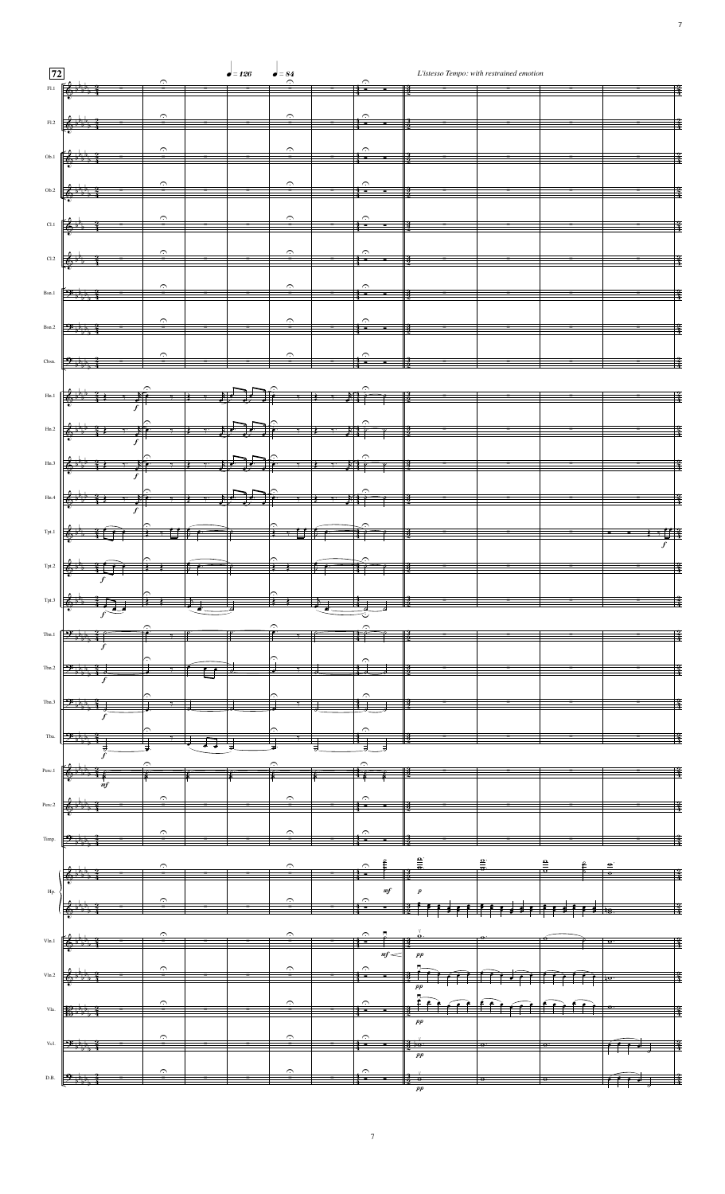| 72                             |                                                                                                                                                                                                                                                                                                                                                     |                         | $\bullet$ = 126<br>$\bullet$ = 84 $\,$        |                          |                                  |                                                                                                                                                                                                                                                                                                                                                                                                                                                                  | L'istesso Tempo: with restrained emotion                                 |                                                                                            |                                               |               |
|--------------------------------|-----------------------------------------------------------------------------------------------------------------------------------------------------------------------------------------------------------------------------------------------------------------------------------------------------------------------------------------------------|-------------------------|-----------------------------------------------|--------------------------|----------------------------------|------------------------------------------------------------------------------------------------------------------------------------------------------------------------------------------------------------------------------------------------------------------------------------------------------------------------------------------------------------------------------------------------------------------------------------------------------------------|--------------------------------------------------------------------------|--------------------------------------------------------------------------------------------|-----------------------------------------------|---------------|
| $\rm{F}l.1$                    |                                                                                                                                                                                                                                                                                                                                                     |                         |                                               |                          |                                  |                                                                                                                                                                                                                                                                                                                                                                                                                                                                  |                                                                          |                                                                                            |                                               |               |
| $\rm{F}l.2$                    |                                                                                                                                                                                                                                                                                                                                                     | $\widehat{\cdot}$       |                                               | $\hat{\cdot}$            |                                  |                                                                                                                                                                                                                                                                                                                                                                                                                                                                  |                                                                          |                                                                                            |                                               |               |
| $_{\rm Ob.1}$                  |                                                                                                                                                                                                                                                                                                                                                     | $\widehat{\cdot}$       |                                               | $\hat{=}$                | $\hat{+}$                        | 궊                                                                                                                                                                                                                                                                                                                                                                                                                                                                |                                                                          |                                                                                            |                                               |               |
|                                |                                                                                                                                                                                                                                                                                                                                                     |                         |                                               | ⌒                        |                                  |                                                                                                                                                                                                                                                                                                                                                                                                                                                                  |                                                                          |                                                                                            |                                               |               |
| $_{\rm Ob.2}$                  | $\overline{\bullet}$                                                                                                                                                                                                                                                                                                                                |                         |                                               |                          |                                  |                                                                                                                                                                                                                                                                                                                                                                                                                                                                  |                                                                          |                                                                                            |                                               |               |
| $\rm C1.1$                     | $6$ <sup>p</sup>                                                                                                                                                                                                                                                                                                                                    |                         |                                               |                          |                                  |                                                                                                                                                                                                                                                                                                                                                                                                                                                                  |                                                                          |                                                                                            |                                               |               |
| $\rm C1.2$                     |                                                                                                                                                                                                                                                                                                                                                     |                         |                                               |                          | ≘                                |                                                                                                                                                                                                                                                                                                                                                                                                                                                                  |                                                                          |                                                                                            |                                               |               |
|                                |                                                                                                                                                                                                                                                                                                                                                     | $\widehat{\cdot}$       |                                               |                          |                                  |                                                                                                                                                                                                                                                                                                                                                                                                                                                                  |                                                                          |                                                                                            |                                               |               |
| Bsn.1                          | $\mathfrak{P} \rightarrow$                                                                                                                                                                                                                                                                                                                          |                         |                                               | ≘                        | $4-$                             |                                                                                                                                                                                                                                                                                                                                                                                                                                                                  |                                                                          |                                                                                            |                                               |               |
| $_{\rm Bsn.2}$                 | ⊶                                                                                                                                                                                                                                                                                                                                                   | $\hat{\phantom{a}}$     |                                               | $\hat{=}$                | $\hat{+}$                        | 궊                                                                                                                                                                                                                                                                                                                                                                                                                                                                |                                                                          |                                                                                            |                                               |               |
| Cbsn.                          |                                                                                                                                                                                                                                                                                                                                                     |                         |                                               |                          |                                  |                                                                                                                                                                                                                                                                                                                                                                                                                                                                  |                                                                          |                                                                                            |                                               |               |
|                                |                                                                                                                                                                                                                                                                                                                                                     |                         |                                               |                          |                                  |                                                                                                                                                                                                                                                                                                                                                                                                                                                                  |                                                                          |                                                                                            |                                               |               |
| $_{\rm Hn.1}$                  |                                                                                                                                                                                                                                                                                                                                                     |                         |                                               |                          |                                  |                                                                                                                                                                                                                                                                                                                                                                                                                                                                  |                                                                          |                                                                                            |                                               |               |
| $_{\rm Hn.2}$                  | $\dddot{}$                                                                                                                                                                                                                                                                                                                                          | $\overline{\mathbf{y}}$ |                                               | $\overline{\phantom{a}}$ |                                  |                                                                                                                                                                                                                                                                                                                                                                                                                                                                  |                                                                          |                                                                                            |                                               |               |
| $_{\rm Hn.3}$                  | $6^{\frac{p}{p}}$<br>$\overline{\phantom{a}}$<br>$\sum$                                                                                                                                                                                                                                                                                             | $\overline{\mathbf{y}}$ | −<br>₦≁                                       | $\rightarrow$ $\sqrt{2}$ |                                  |                                                                                                                                                                                                                                                                                                                                                                                                                                                                  |                                                                          |                                                                                            |                                               |               |
| $_{\rm Hn.4}$                  | $\frac{1}{2}$                                                                                                                                                                                                                                                                                                                                       | $\rightarrow$           |                                               | $\overline{\mathbf{y}}$  | $\frac{1}{\epsilon}$             |                                                                                                                                                                                                                                                                                                                                                                                                                                                                  |                                                                          |                                                                                            |                                               |               |
|                                |                                                                                                                                                                                                                                                                                                                                                     |                         |                                               |                          |                                  |                                                                                                                                                                                                                                                                                                                                                                                                                                                                  |                                                                          |                                                                                            |                                               |               |
| $_{\rm Tpt.1}$                 | $\phi_{\mathfrak{p}}$<br>←                                                                                                                                                                                                                                                                                                                          |                         | ₹                                             | $\overline{y}$           |                                  |                                                                                                                                                                                                                                                                                                                                                                                                                                                                  |                                                                          |                                                                                            | $\gamma$ (f $\frac{2}{4}$<br>$\boldsymbol{f}$ |               |
| $\operatorname{Tpt.2}$         | $6^{p}$<br>$\frac{2}{4}$                                                                                                                                                                                                                                                                                                                            |                         | $\hat{\overline{\imath}}$ $\overline{\imath}$ |                          |                                  |                                                                                                                                                                                                                                                                                                                                                                                                                                                                  |                                                                          |                                                                                            |                                               |               |
|                                | $\frac{1}{2}$                                                                                                                                                                                                                                                                                                                                       |                         | $\hat{=}$                                     |                          |                                  |                                                                                                                                                                                                                                                                                                                                                                                                                                                                  |                                                                          |                                                                                            |                                               |               |
|                                | $\begin{picture}(180,10) \put(0,0){\line(1,0){10}} \put(15,0){\line(1,0){10}} \put(15,0){\line(1,0){10}} \put(15,0){\line(1,0){10}} \put(15,0){\line(1,0){10}} \put(15,0){\line(1,0){10}} \put(15,0){\line(1,0){10}} \put(15,0){\line(1,0){10}} \put(15,0){\line(1,0){10}} \put(15,0){\line(1,0){10}} \put(15,0){\line(1,0){10}} \put(15,0){\line($ |                         | ر.                                            |                          | 毎                                |                                                                                                                                                                                                                                                                                                                                                                                                                                                                  |                                                                          |                                                                                            |                                               |               |
| $_{\rm Tbn.1}$                 | $2 + 7 - 7$                                                                                                                                                                                                                                                                                                                                         |                         | Ť                                             | $\bar{=}$                | 11 <sup>o</sup>                  | ₿                                                                                                                                                                                                                                                                                                                                                                                                                                                                |                                                                          |                                                                                            |                                               |               |
| $_{\rm Tbn.2}$                 | $2 + 3 -$<br>ᆛ<br>$\boldsymbol{f}$                                                                                                                                                                                                                                                                                                                  | 奪                       | J                                             |                          | $\hat{1}$                        | J.                                                                                                                                                                                                                                                                                                                                                                                                                                                               |                                                                          |                                                                                            |                                               | $\frac{2}{4}$ |
| $_{\rm Tbn.3}$                 | $\mathcal{P}$ , $\mathcal{P}$                                                                                                                                                                                                                                                                                                                       |                         | Ŧ                                             | $\frac{q}{q}$            | $\hat{1}$                        | $\frac{3}{2}$ -                                                                                                                                                                                                                                                                                                                                                                                                                                                  |                                                                          |                                                                                            | $\overline{\phantom{a}}$                      | $\frac{2}{4}$ |
|                                |                                                                                                                                                                                                                                                                                                                                                     |                         |                                               |                          |                                  |                                                                                                                                                                                                                                                                                                                                                                                                                                                                  |                                                                          |                                                                                            |                                               |               |
| $\!$ Tba.                      | $\left  \frac{9}{2} \right  \rightarrow \frac{2}{4}$                                                                                                                                                                                                                                                                                                | 月!                      |                                               | $\ddot{}$<br>Ę           |                                  |                                                                                                                                                                                                                                                                                                                                                                                                                                                                  |                                                                          |                                                                                            |                                               | $\frac{2}{4}$ |
| $\mbox{Perc.1}$                | 6.737<br>$_{mf}$                                                                                                                                                                                                                                                                                                                                    |                         |                                               |                          | 毒                                |                                                                                                                                                                                                                                                                                                                                                                                                                                                                  |                                                                          |                                                                                            |                                               | $\frac{3}{4}$ |
| $\ensuremath{\mathsf{Perc}}.2$ | 6.73                                                                                                                                                                                                                                                                                                                                                |                         | ٠.                                            | $\triangleq$             | $\hat{1}$ $\hat{1}$              | ₿                                                                                                                                                                                                                                                                                                                                                                                                                                                                |                                                                          |                                                                                            |                                               |               |
| $\mbox{Timp.}$                 | $\mathcal{P}$ , $\mathcal{P}_\mathrm{p}$                                                                                                                                                                                                                                                                                                            |                         |                                               | $\hat{=}$                | $\widehat{\cdot}$                |                                                                                                                                                                                                                                                                                                                                                                                                                                                                  |                                                                          |                                                                                            |                                               | $\frac{1}{4}$ |
|                                |                                                                                                                                                                                                                                                                                                                                                     |                         |                                               |                          |                                  |                                                                                                                                                                                                                                                                                                                                                                                                                                                                  |                                                                          |                                                                                            |                                               |               |
| $_{\rm Hp.}$                   | $6 - 1$                                                                                                                                                                                                                                                                                                                                             |                         |                                               |                          | $\mathfrak{m}f$                  |                                                                                                                                                                                                                                                                                                                                                                                                                                                                  | $\frac{\frac{\mathbf{a}}{\overline{\mathbf{b}}}}{\overline{\mathbf{b}}}$ | $\frac{2}{10}$                                                                             | $\frac{a}{b}$<br>$\frac{1}{4}$                |               |
|                                | $6 - 3$                                                                                                                                                                                                                                                                                                                                             |                         |                                               |                          | $\hat{+}$<br>÷                   | $\frac{3}{2}$ $\frac{5}{2}$ $\frac{5}{2}$ $\frac{3}{2}$ $\frac{5}{2}$ $\frac{3}{2}$ $\frac{5}{2}$ $\frac{3}{2}$ $\frac{5}{2}$                                                                                                                                                                                                                                                                                                                                    | $\frac{1}{2}$ $\frac{1}{2}$ $\frac{1}{2}$                                | <u> 7 : </u><br>$\overline{\phantom{a}}$ $\overline{\phantom{a}}$ $\overline{\phantom{a}}$ | $\frac{2}{3}$                                 |               |
| $_{\rm Vln.1}$                 | $\frac{2}{3}$                                                                                                                                                                                                                                                                                                                                       |                         |                                               | $\overline{\phantom{0}}$ | $\frac{1}{\sqrt{1-\frac{1}{2}}}$ |                                                                                                                                                                                                                                                                                                                                                                                                                                                                  |                                                                          |                                                                                            | $\frac{3}{4}$                                 |               |
|                                |                                                                                                                                                                                                                                                                                                                                                     |                         |                                               |                          | $m f \ll$                        | $_{pp}$                                                                                                                                                                                                                                                                                                                                                                                                                                                          |                                                                          |                                                                                            |                                               |               |
| $_{\rm Vln.2}$                 | 677                                                                                                                                                                                                                                                                                                                                                 | $\hat{=}$               | Ξ                                             | $\hat{z}$                |                                  | $\begin{array}{ c c c c }\hline \dots & \frac{1}{2} & \dots & \frac{1}{2} \\\hline \dots & \frac{1}{2} & \dots & \frac{1}{2} \\\hline \dots & \frac{1}{2} & \dots & \frac{1}{2} \\\hline \dots & \frac{1}{2} & \dots & \frac{1}{2} \\\hline \dots & \frac{1}{2} & \dots & \frac{1}{2} \\\hline \dots & \frac{1}{2} & \dots & \frac{1}{2} \\\hline \dots & \frac{1}{2} & \dots & \frac{1}{2} \\\hline \dots & \frac{1}{2} & \dots & \frac{1}{2} \\\hline \dots &$ | <b>.</b>                                                                 |                                                                                            | $\frac{1}{2}$                                 | $\frac{1}{4}$ |
| $_{\rm Vla.}$                  | $B^{b_1},$ $\}$                                                                                                                                                                                                                                                                                                                                     | $\hat{=}$               |                                               | $\triangleq$             | $\hat{A}$ $\hat{B}$              | $\frac{1}{2}$<br>$\frac{p}{p}$                                                                                                                                                                                                                                                                                                                                                                                                                                   | $\mathop{\mathop{\boxplus}}\nolimits$<br>ŕf                              | ≢                                                                                          | $\mathbf{p}$                                  | ∄             |
| $\operatorname{Vcl.}$          | $\mathcal{F}^{\, \downarrow}_{\nu} \mathcal{F}^{\, \downarrow}_{\nu}$                                                                                                                                                                                                                                                                               | ≙                       | $\overline{\phantom{a}}$                      | $\triangle$              | $\frac{2}{1}$                    | $\begin{array}{ c c }\n\hline\n3 & \rightarrow & \\ 2 & \rightarrow & \\ p & \\ p & \\ \hline\n\end{array}$                                                                                                                                                                                                                                                                                                                                                      | $\bullet$ $\bullet$                                                      |                                                                                            | $\sqrt{1}$<br>$\frac{1}{4}$                   |               |
|                                |                                                                                                                                                                                                                                                                                                                                                     |                         |                                               | $\hat{\phantom{a}}$      |                                  |                                                                                                                                                                                                                                                                                                                                                                                                                                                                  |                                                                          |                                                                                            |                                               |               |
| $\mathbf{D}.\mathbf{B}.$       | $\mathbb{P}_{\mathbb{F}_p}$                                                                                                                                                                                                                                                                                                                         |                         |                                               | ÷                        | $\mathbf{r}$                     | $\frac{3}{2}$ $\frac{6}{p}$                                                                                                                                                                                                                                                                                                                                                                                                                                      | $\overline{\bullet}$                                                     | $\overline{\phantom{a}}$                                                                   | $\sqrt{1-\frac{1}{2}}$                        |               |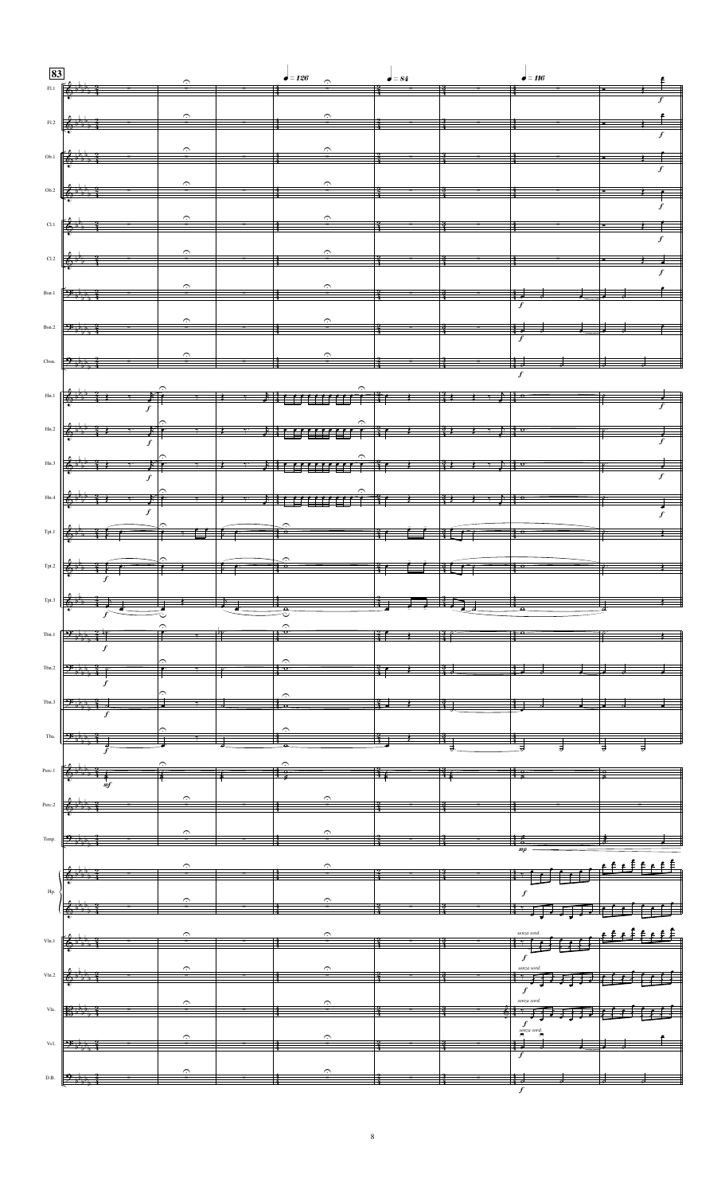| 83<br>FI.1 6                   |                                                                                                  |                                              |                                                                                                                                                                                                                                                                                                                                                                                                        |                                                                                                                                                                                                                                                                                                           | $\bullet = 126$         |                          |                                 | $\frac{1}{2}$ = 84 |                                                                                                                                                                                                                                                                                                                     | o = 116                              |                                                  |
|--------------------------------|--------------------------------------------------------------------------------------------------|----------------------------------------------|--------------------------------------------------------------------------------------------------------------------------------------------------------------------------------------------------------------------------------------------------------------------------------------------------------------------------------------------------------------------------------------------------------|-----------------------------------------------------------------------------------------------------------------------------------------------------------------------------------------------------------------------------------------------------------------------------------------------------------|-------------------------|--------------------------|---------------------------------|--------------------|---------------------------------------------------------------------------------------------------------------------------------------------------------------------------------------------------------------------------------------------------------------------------------------------------------------------|--------------------------------------|--------------------------------------------------|
|                                | $F1.2$ $6$ $F1.3$                                                                                |                                              | $\triangleq$                                                                                                                                                                                                                                                                                                                                                                                           |                                                                                                                                                                                                                                                                                                           |                         | $\triangleq$             |                                 |                    | R                                                                                                                                                                                                                                                                                                                   |                                      | $\sim$                                           |
|                                | $0b.1$ $\left[\begin{array}{ccc} & & & \\ & & & \\ & & & \\ & & & & \end{array}\right]$          |                                              |                                                                                                                                                                                                                                                                                                                                                                                                        |                                                                                                                                                                                                                                                                                                           | $\frac{1}{4}$           | $\triangleq$             |                                 | ÷                  | В                                                                                                                                                                                                                                                                                                                   |                                      |                                                  |
|                                | $00.2$ $\left(\frac{1}{2}, \frac{1}{2}, \frac{1}{2}\right)$                                      |                                              |                                                                                                                                                                                                                                                                                                                                                                                                        |                                                                                                                                                                                                                                                                                                           | $\frac{14}{3}$          |                          | $\frac{2}{3}$                   |                    |                                                                                                                                                                                                                                                                                                                     |                                      |                                                  |
|                                | $C1.1$ $\left( \begin{array}{ccc} 1 & 2 \\ 0 & 1 \end{array} \right)$                            |                                              |                                                                                                                                                                                                                                                                                                                                                                                                        | $\frac{1}{4}$                                                                                                                                                                                                                                                                                             |                         |                          | $\frac{1}{4}$                   |                    | Ħ                                                                                                                                                                                                                                                                                                                   |                                      | $\overline{\phantom{a}}$                         |
|                                | $C1.2$ $8+1$                                                                                     |                                              |                                                                                                                                                                                                                                                                                                                                                                                                        | $\frac{1}{2}$                                                                                                                                                                                                                                                                                             |                         |                          |                                 |                    |                                                                                                                                                                                                                                                                                                                     |                                      |                                                  |
| $_{\rm Bsn.l}$                 | $2 + 3$                                                                                          |                                              |                                                                                                                                                                                                                                                                                                                                                                                                        |                                                                                                                                                                                                                                                                                                           |                         |                          |                                 |                    |                                                                                                                                                                                                                                                                                                                     |                                      |                                                  |
|                                | Bsn.2 $\left[\frac{\partial^2}{\partial p} \right]_p$                                            |                                              |                                                                                                                                                                                                                                                                                                                                                                                                        |                                                                                                                                                                                                                                                                                                           |                         |                          |                                 | ÷                  | $\frac{1}{f}$<br>1                                                                                                                                                                                                                                                                                                  |                                      |                                                  |
| $_{\rm Cbsn.}$                 | $\mathbb{P}\mathbb{H}$                                                                           |                                              |                                                                                                                                                                                                                                                                                                                                                                                                        |                                                                                                                                                                                                                                                                                                           |                         |                          |                                 |                    | $\frac{1}{2}$                                                                                                                                                                                                                                                                                                       | $\pm 1$                              |                                                  |
|                                |                                                                                                  |                                              |                                                                                                                                                                                                                                                                                                                                                                                                        |                                                                                                                                                                                                                                                                                                           |                         |                          |                                 |                    |                                                                                                                                                                                                                                                                                                                     |                                      | $\frac{1}{f}$                                    |
|                                |                                                                                                  | $\mathbb{E}_{\mathbf{h},1}$                  |                                                                                                                                                                                                                                                                                                                                                                                                        | $\frac{1}{2}$ = $\frac{1}{2}$ = $\frac{1}{2}$ = $\frac{1}{2}$ = $\frac{1}{2}$ = $\frac{1}{2}$ = $\frac{1}{2}$ = $\frac{1}{2}$ = $\frac{1}{2}$ = $\frac{1}{2}$ = $\frac{1}{2}$ = $\frac{1}{2}$ = $\frac{1}{2}$ = $\frac{1}{2}$ = $\frac{1}{2}$ = $\frac{1}{2}$ = $\frac{1}{2}$ = $\frac{1}{2}$ = $\frac{1$ |                         |                          |                                 |                    | $\exists i$<br>$\cdot$ ) $1^{\circ}$                                                                                                                                                                                                                                                                                |                                      |                                                  |
|                                |                                                                                                  |                                              | $\mathbb{H}^{n,3}$ $\left  \begin{array}{ccc} \frac{1}{2} & \frac{1}{2} & \frac{1}{2} & \frac{1}{2} & \frac{1}{2} & \frac{1}{2} & \frac{1}{2} & \frac{1}{2} & \frac{1}{2} & \frac{1}{2} & \frac{1}{2} & \frac{1}{2} & \frac{1}{2} & \frac{1}{2} & \frac{1}{2} & \frac{1}{2} & \frac{1}{2} & \frac{1}{2} & \frac{1}{2} & \frac{1}{2} & \frac{1}{2} & \frac{1}{2} & \frac{1}{2} & \frac{1}{2} & \frac{1$ |                                                                                                                                                                                                                                                                                                           |                         |                          |                                 |                    | $\frac{3}{4}$                                                                                                                                                                                                                                                                                                       | $\cdot$ ) $1^{\circ}$                | $\frac{1}{\tau}$<br>葁<br>$\overline{\mathbf{r}}$ |
|                                | $\frac{HnA}{2}$ $\frac{1}{2}$                                                                    | $\rightarrow$ $\rightarrow$                  |                                                                                                                                                                                                                                                                                                                                                                                                        |                                                                                                                                                                                                                                                                                                           |                         | $\rightarrow$ ) transmit |                                 |                    | $\frac{3}{4}$                                                                                                                                                                                                                                                                                                       |                                      |                                                  |
|                                | $\frac{Tpt.1}{10}$                                                                               | $\mathfrak{p}$ $\mathfrak{p}$ $\mathfrak{p}$ |                                                                                                                                                                                                                                                                                                                                                                                                        | $\square'$ ) $\cdot$ $\cdot$                                                                                                                                                                                                                                                                              |                         |                          |                                 |                    | $\frac{1}{2}$ , and the set of $\frac{1}{2}$ , and $\frac{1}{2}$ , and $\frac{1}{2}$ , and $\frac{1}{2}$ , and $\frac{1}{2}$                                                                                                                                                                                        | $\frac{4}{3}$ o                      |                                                  |
|                                | $Tpt.2$ $\left[\begin{array}{ccc} -5 & -1 & -1 \\ -1 & -1 & -1 \\ 0 & 0 & -1 \end{array}\right]$ |                                              |                                                                                                                                                                                                                                                                                                                                                                                                        |                                                                                                                                                                                                                                                                                                           |                         |                          |                                 |                    | $\frac{1}{2}$ $\frac{1}{2}$ $\frac{1}{2}$ $\frac{1}{2}$ $\frac{1}{2}$ $\frac{1}{2}$ $\frac{1}{2}$ $\frac{1}{2}$ $\frac{1}{2}$ $\frac{1}{2}$ $\frac{1}{2}$ $\frac{1}{2}$ $\frac{1}{2}$ $\frac{1}{2}$ $\frac{1}{2}$ $\frac{1}{2}$ $\frac{1}{2}$ $\frac{1}{2}$ $\frac{1}{2}$ $\frac{1}{2}$ $\frac{1}{2}$ $\frac{1}{2}$ |                                      |                                                  |
|                                | Tpt.3                                                                                            |                                              |                                                                                                                                                                                                                                                                                                                                                                                                        |                                                                                                                                                                                                                                                                                                           |                         |                          |                                 |                    |                                                                                                                                                                                                                                                                                                                     |                                      |                                                  |
| $_{\rm Tbn.1}$                 | $2\cdot$ , $\cdot$                                                                               |                                              |                                                                                                                                                                                                                                                                                                                                                                                                        |                                                                                                                                                                                                                                                                                                           |                         |                          |                                 |                    |                                                                                                                                                                                                                                                                                                                     |                                      |                                                  |
| $_{\rm Tbn.2}$                 | $\mathcal{P}$ , $\flat$ ,                                                                        |                                              |                                                                                                                                                                                                                                                                                                                                                                                                        |                                                                                                                                                                                                                                                                                                           | $\overline{\cdot}$      |                          |                                 |                    |                                                                                                                                                                                                                                                                                                                     |                                      |                                                  |
| $_{\rm Tbn.3}$                 | $\mathbb{P}_{\mathbb{P}_{\mathbb{P}_{\mathbb{P}}}}$                                              |                                              |                                                                                                                                                                                                                                                                                                                                                                                                        |                                                                                                                                                                                                                                                                                                           |                         |                          | $\frac{2}{3}$ $\longrightarrow$ |                    |                                                                                                                                                                                                                                                                                                                     |                                      |                                                  |
| Tba.                           | $\mathbb{P}_{\mathbb{Z}}$                                                                        |                                              |                                                                                                                                                                                                                                                                                                                                                                                                        |                                                                                                                                                                                                                                                                                                           |                         |                          | $\frac{1}{4}$                   |                    |                                                                                                                                                                                                                                                                                                                     |                                      |                                                  |
| $\ensuremath{\mathsf{Perc}}.1$ | $6 - 7$                                                                                          |                                              |                                                                                                                                                                                                                                                                                                                                                                                                        |                                                                                                                                                                                                                                                                                                           | $\frac{1}{\frac{1}{2}}$ |                          |                                 |                    |                                                                                                                                                                                                                                                                                                                     |                                      |                                                  |
| $\ensuremath{\mathit{Perc}}.2$ | $6 - 1$                                                                                          |                                              |                                                                                                                                                                                                                                                                                                                                                                                                        |                                                                                                                                                                                                                                                                                                           |                         |                          |                                 |                    |                                                                                                                                                                                                                                                                                                                     |                                      |                                                  |
| Timp.                          | $2\frac{1}{2}$                                                                                   |                                              |                                                                                                                                                                                                                                                                                                                                                                                                        |                                                                                                                                                                                                                                                                                                           |                         |                          |                                 |                    | Ħ                                                                                                                                                                                                                                                                                                                   | $\frac{1}{4} \frac{2}{\omega_p}$     |                                                  |
|                                | $6^{\nu}$                                                                                        |                                              |                                                                                                                                                                                                                                                                                                                                                                                                        |                                                                                                                                                                                                                                                                                                           |                         |                          |                                 |                    | $\frac{1}{3}$ $\frac{1}{3}$ $\frac{1}{3}$ $\frac{1}{3}$ $\frac{1}{3}$ $\frac{1}{3}$ $\frac{1}{3}$ $\frac{1}{3}$ $\frac{1}{3}$ $\frac{1}{3}$ $\frac{1}{3}$ $\frac{1}{3}$ $\frac{1}{3}$ $\frac{1}{3}$ $\frac{1}{3}$ $\frac{1}{3}$ $\frac{1}{3}$ $\frac{1}{3}$ $\frac{1}{3}$ $\frac{1}{3}$ $\frac{1}{3}$ $\frac{1}{3}$ | $\frac{1}{2}$                        |                                                  |
| Hp.                            | $6 - 1$                                                                                          |                                              |                                                                                                                                                                                                                                                                                                                                                                                                        |                                                                                                                                                                                                                                                                                                           |                         |                          |                                 |                    |                                                                                                                                                                                                                                                                                                                     |                                      | أكتبا لحنادر                                     |
|                                | $Vln.1$ $\left[\begin{array}{ccc} 1 & 1 \\ 0 & 1 \end{array}\right]$                             |                                              |                                                                                                                                                                                                                                                                                                                                                                                                        |                                                                                                                                                                                                                                                                                                           |                         |                          |                                 |                    | senza sord.<br>$\begin{array}{c c}\n\bullet & \bullet & \bullet \\ \hline\n\bullet & \bullet & \bullet\n\end{array}$                                                                                                                                                                                                |                                      | <u>र्काम </u>                                    |
|                                | $\frac{\text{Vln.2}}{\text{O}}$                                                                  |                                              |                                                                                                                                                                                                                                                                                                                                                                                                        |                                                                                                                                                                                                                                                                                                           |                         |                          |                                 |                    |                                                                                                                                                                                                                                                                                                                     | senza sora<br>$1$ <sup>x</sup> $\in$ | 年生                                               |
| Vla.                           | $\mathbb{B}^{\nu_{\nu}}$                                                                         |                                              |                                                                                                                                                                                                                                                                                                                                                                                                        |                                                                                                                                                                                                                                                                                                           |                         |                          |                                 |                    |                                                                                                                                                                                                                                                                                                                     | senza sord<br>$-61.75$               | $\mathbb{R}$                                     |
| Vcl.                           | $\mathbb{P}$                                                                                     |                                              |                                                                                                                                                                                                                                                                                                                                                                                                        |                                                                                                                                                                                                                                                                                                           |                         |                          |                                 |                    |                                                                                                                                                                                                                                                                                                                     | senza sora                           |                                                  |
| $\mathbf{D}.\mathbf{B}.$       | $\mathbb{P}$                                                                                     |                                              |                                                                                                                                                                                                                                                                                                                                                                                                        |                                                                                                                                                                                                                                                                                                           |                         |                          |                                 |                    | 3                                                                                                                                                                                                                                                                                                                   | $\frac{1}{4}$                        |                                                  |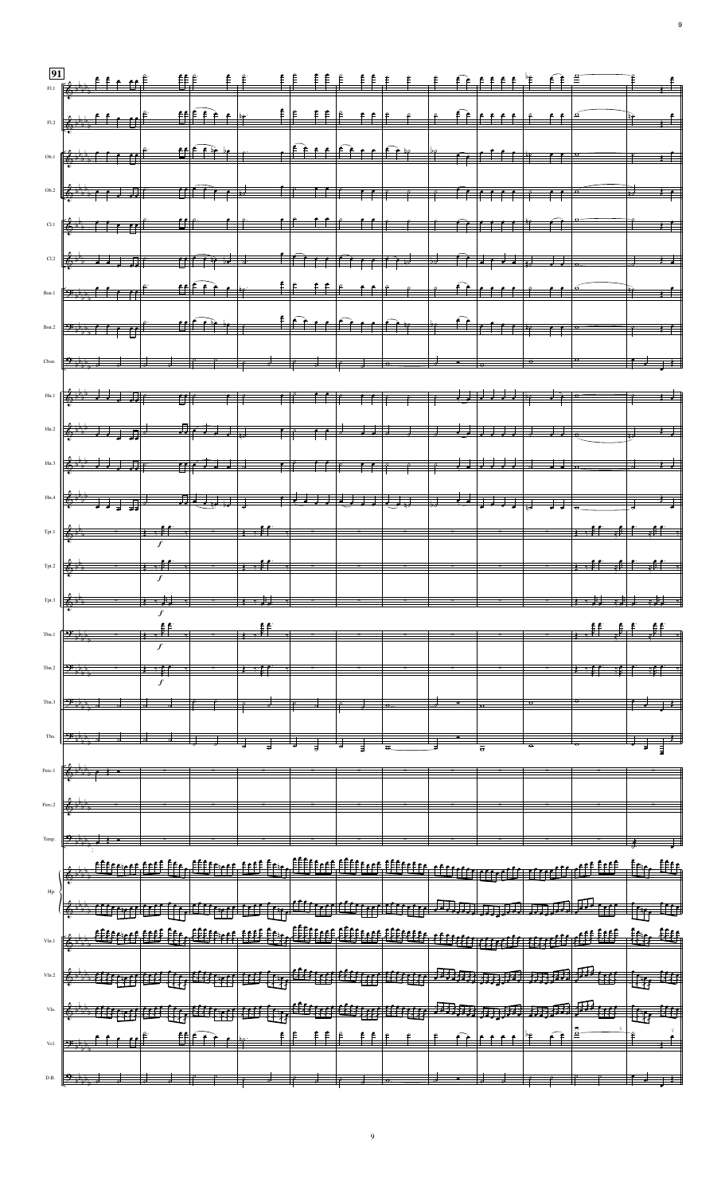|                        |                                            |                                                                                                                                                                                                                                                                                                                                                                                                                                                                                                                                                        |                   |  |                                                                        |                                                                                                                                                                                                                                                                                                                     |                         |                                                   |                                        |                          |                   |                                                 |                          | $F_{1,2}$ $\frac{1}{100}$ $\frac{1}{100}$ $\frac{1}{100}$ $\frac{1}{100}$ $\frac{1}{100}$ $\frac{1}{100}$ $\frac{1}{100}$ $\frac{1}{100}$ $\frac{1}{100}$ $\frac{1}{100}$ $\frac{1}{100}$ $\frac{1}{100}$ $\frac{1}{100}$ $\frac{1}{100}$ $\frac{1}{100}$ $\frac{1}{100}$ $\frac{1}{100}$ $\frac{1}{10$ |        |                                  |                              |                                                                                                                                                                                                                                                                                                           |                     |                                                       |
|------------------------|--------------------------------------------|--------------------------------------------------------------------------------------------------------------------------------------------------------------------------------------------------------------------------------------------------------------------------------------------------------------------------------------------------------------------------------------------------------------------------------------------------------------------------------------------------------------------------------------------------------|-------------------|--|------------------------------------------------------------------------|---------------------------------------------------------------------------------------------------------------------------------------------------------------------------------------------------------------------------------------------------------------------------------------------------------------------|-------------------------|---------------------------------------------------|----------------------------------------|--------------------------|-------------------|-------------------------------------------------|--------------------------|---------------------------------------------------------------------------------------------------------------------------------------------------------------------------------------------------------------------------------------------------------------------------------------------------------|--------|----------------------------------|------------------------------|-----------------------------------------------------------------------------------------------------------------------------------------------------------------------------------------------------------------------------------------------------------------------------------------------------------|---------------------|-------------------------------------------------------|
|                        |                                            |                                                                                                                                                                                                                                                                                                                                                                                                                                                                                                                                                        |                   |  |                                                                        |                                                                                                                                                                                                                                                                                                                     |                         |                                                   |                                        |                          |                   |                                                 |                          |                                                                                                                                                                                                                                                                                                         |        |                                  |                              |                                                                                                                                                                                                                                                                                                           |                     |                                                       |
|                        |                                            |                                                                                                                                                                                                                                                                                                                                                                                                                                                                                                                                                        |                   |  |                                                                        |                                                                                                                                                                                                                                                                                                                     |                         |                                                   |                                        |                          |                   |                                                 |                          |                                                                                                                                                                                                                                                                                                         |        |                                  |                              |                                                                                                                                                                                                                                                                                                           |                     |                                                       |
|                        |                                            | $0^{1/2}$ $\left[\frac{1}{2},\frac{1}{2},\frac{1}{2},\frac{1}{2},\ldots,\frac{1}{2}\right]$ $\left[\frac{1}{2},\frac{1}{2},\frac{1}{2},\frac{1}{2}\right]$                                                                                                                                                                                                                                                                                                                                                                                             |                   |  | $\frac{1}{4}$                                                          |                                                                                                                                                                                                                                                                                                                     |                         |                                                   |                                        |                          |                   |                                                 |                          |                                                                                                                                                                                                                                                                                                         |        |                                  |                              |                                                                                                                                                                                                                                                                                                           |                     | $\epsilon$                                            |
|                        |                                            | $\frac{1}{2}$ $\frac{1}{2}$ $\frac{1}{2}$ $\frac{1}{2}$ $\frac{1}{2}$ $\frac{1}{2}$ $\frac{1}{2}$ $\frac{1}{2}$ $\frac{1}{2}$ $\frac{1}{2}$ $\frac{1}{2}$ $\frac{1}{2}$ $\frac{1}{2}$ $\frac{1}{2}$ $\frac{1}{2}$ $\frac{1}{2}$ $\frac{1}{2}$ $\frac{1}{2}$ $\frac{1}{2}$ $\frac{1}{2}$ $\frac{1}{2}$ $\frac{1}{2}$                                                                                                                                                                                                                                    | f∰                |  |                                                                        | $\frac{1}{2}$ $\frac{1}{2}$ $\frac{1}{2}$ $\frac{1}{2}$ $\frac{1}{2}$ $\frac{1}{2}$ $\frac{1}{2}$ $\frac{1}{2}$ $\frac{1}{2}$ $\frac{1}{2}$ $\frac{1}{2}$ $\frac{1}{2}$ $\frac{1}{2}$ $\frac{1}{2}$ $\frac{1}{2}$ $\frac{1}{2}$ $\frac{1}{2}$ $\frac{1}{2}$ $\frac{1}{2}$ $\frac{1}{2}$ $\frac{1}{2}$ $\frac{1}{2}$ |                         |                                                   |                                        |                          |                   |                                                 |                          | $\cdots$                                                                                                                                                                                                                                                                                                |        | $\blacksquare$                   |                              |                                                                                                                                                                                                                                                                                                           |                     | $\begin{array}{c} \uparrow \\ \downarrow \end{array}$ |
|                        |                                            |                                                                                                                                                                                                                                                                                                                                                                                                                                                                                                                                                        |                   |  |                                                                        |                                                                                                                                                                                                                                                                                                                     |                         |                                                   |                                        |                          |                   |                                                 |                          |                                                                                                                                                                                                                                                                                                         |        |                                  |                              | $\frac{1}{100}$ $\frac{1}{100}$ $\frac{1}{100}$ $\frac{1}{100}$ $\frac{1}{100}$ $\frac{1}{100}$ $\frac{1}{100}$ $\frac{1}{100}$ $\frac{1}{100}$ $\frac{1}{100}$ $\frac{1}{100}$ $\frac{1}{100}$ $\frac{1}{100}$ $\frac{1}{100}$ $\frac{1}{100}$ $\frac{1}{100}$ $\frac{1}{100}$ $\frac{1}{100}$ $\frac{1$ |                     |                                                       |
| $_{\rm Bsn.l}$         |                                            | $\frac{1}{2}$                                                                                                                                                                                                                                                                                                                                                                                                                                                                                                                                          |                   |  |                                                                        |                                                                                                                                                                                                                                                                                                                     |                         |                                                   |                                        |                          |                   |                                                 |                          |                                                                                                                                                                                                                                                                                                         |        |                                  |                              |                                                                                                                                                                                                                                                                                                           |                     | <u>र्ग</u>                                            |
|                        |                                            | $Bsn.2$ $\left[\frac{96b}{b}b\right]$                                                                                                                                                                                                                                                                                                                                                                                                                                                                                                                  |                   |  |                                                                        |                                                                                                                                                                                                                                                                                                                     |                         |                                                   |                                        |                          |                   |                                                 |                          |                                                                                                                                                                                                                                                                                                         |        |                                  |                              |                                                                                                                                                                                                                                                                                                           |                     |                                                       |
| Cbsn.                  |                                            |                                                                                                                                                                                                                                                                                                                                                                                                                                                                                                                                                        | $\longrightarrow$ |  |                                                                        |                                                                                                                                                                                                                                                                                                                     |                         | $\overline{\phantom{a}}$ $\overline{\phantom{a}}$ |                                        | $\overline{\phantom{a}}$ |                   |                                                 | $\overline{\phantom{0}}$ | †ত                                                                                                                                                                                                                                                                                                      | $\sim$ |                                  | $\overline{\phantom{a}}$     |                                                                                                                                                                                                                                                                                                           | $\vert \cdot \vert$ | $\overrightarrow{ }$                                  |
|                        |                                            | $H_{\text{h},1}$ $\left[\left(\frac{\partial}{\partial y} \frac{\partial^2 y}{\partial y^2} - \frac{1}{\partial y} \frac{\partial}{\partial z} - \frac{1}{\partial z^2} \frac{\partial^2}{\partial x^2} + \frac{1}{\partial z^2} \frac{\partial}{\partial z^2} \frac{\partial^2}{\partial y^2} + \frac{1}{\partial z^2} \frac{\partial}{\partial z^2} \frac{\partial^2}{\partial y^2} + \frac{1}{\partial z^2} \frac{\partial}{\partial z^2} \frac{\partial^2}{\partial z^2} + \frac{1}{\partial z^2} \frac{\partial}{\partial z^2} \frac{\partial}{\$ |                   |  |                                                                        |                                                                                                                                                                                                                                                                                                                     |                         |                                                   |                                        |                          |                   | $\frac{\phantom{0}}{\phantom{0}}$ $\phantom{0}$ |                          | $\frac{1}{2}$ , $\frac{1}{2}$ , $\frac{1}{2}$ , $\frac{1}{2}$ , $\frac{1}{2}$ , $\frac{1}{2}$                                                                                                                                                                                                           |        |                                  |                              |                                                                                                                                                                                                                                                                                                           |                     |                                                       |
|                        |                                            |                                                                                                                                                                                                                                                                                                                                                                                                                                                                                                                                                        |                   |  |                                                                        |                                                                                                                                                                                                                                                                                                                     |                         |                                                   |                                        |                          |                   |                                                 |                          |                                                                                                                                                                                                                                                                                                         |        |                                  |                              |                                                                                                                                                                                                                                                                                                           |                     |                                                       |
|                        |                                            | $H_{\rm B,3}$ $8 \frac{p_1}{p_1}$ $1 \frac{1}{p_2}$ $1 \frac{p_3}{p_3}$ $1 \frac{p_4}{p_4}$ $1 \frac{p_5}{p_5}$ $1 \frac{p_6}{p_6}$ $1 \frac{p_7}{p_7}$ $1 \frac{p_8}{p_8}$                                                                                                                                                                                                                                                                                                                                                                            |                   |  |                                                                        | $\cdot$ $\cdot$                                                                                                                                                                                                                                                                                                     | $\mathsf{f} \mathsf{f}$ |                                                   | $\mathbf{f}$ $\mathbf{f}$ $\mathbf{f}$ |                          | $\overline{\rho}$ |                                                 |                          | $\overline{a}$ , $\overline{a}$ , $\overline{a}$ , $\overline{a}$ , $\overline{a}$                                                                                                                                                                                                                      |        | $\frac{1}{\sqrt{2}}$ .           |                              |                                                                                                                                                                                                                                                                                                           |                     | $\overline{\mathcal{L}}$                              |
| $_{\rm Hn.4}$          | $\frac{1}{2}$                              | $\frac{1}{2}$ , $\frac{1}{2}$ , $\frac{1}{2}$ , $\frac{1}{2}$                                                                                                                                                                                                                                                                                                                                                                                                                                                                                          |                   |  |                                                                        |                                                                                                                                                                                                                                                                                                                     |                         |                                                   |                                        |                          |                   |                                                 |                          |                                                                                                                                                                                                                                                                                                         |        |                                  |                              | <b>Die Stad and Stad (Stad Stad Album)</b>                                                                                                                                                                                                                                                                |                     | ₹Ţ                                                    |
| $\operatorname{Tpt}.1$ | $6^{\frac{b}{2}}$                          | $\frac{1}{\sqrt{2}}$ $\frac{1}{\sqrt{2}}$ $\frac{1}{\sqrt{2}}$ $\frac{1}{\sqrt{2}}$ $\frac{1}{\sqrt{2}}$ $\frac{1}{\sqrt{2}}$ $\frac{1}{\sqrt{2}}$ $\frac{1}{\sqrt{2}}$ $\frac{1}{\sqrt{2}}$ $\frac{1}{\sqrt{2}}$ $\frac{1}{\sqrt{2}}$ $\frac{1}{\sqrt{2}}$ $\frac{1}{\sqrt{2}}$ $\frac{1}{\sqrt{2}}$ $\frac{1}{\sqrt{2}}$ $\frac{1}{\sqrt{2}}$ $\frac{1}{\sqrt{2}}$                                                                                                                                                                                   |                   |  |                                                                        |                                                                                                                                                                                                                                                                                                                     |                         |                                                   |                                        |                          |                   |                                                 |                          |                                                                                                                                                                                                                                                                                                         |        |                                  |                              | $\left  \begin{array}{c} \lambda \end{array} \right.$ $\left  \begin{array}{c} \lambda \end{array} \right.$ $\left  \begin{array}{c} \lambda \end{array} \right.$                                                                                                                                         |                     |                                                       |
|                        | $Tpt.2$ $\left \left \left \right \right $ | $\equiv$ $\leftrightarrow$ $\frac{1}{2}$                                                                                                                                                                                                                                                                                                                                                                                                                                                                                                               |                   |  | $ \rightarrow$ $\frac{1}{2}$ $\rightarrow$ $\frac{1}{2}$ $\rightarrow$ |                                                                                                                                                                                                                                                                                                                     |                         |                                                   |                                        |                          |                   |                                                 |                          |                                                                                                                                                                                                                                                                                                         |        |                                  | $\rightarrow$ $\gamma\gamma$ | $\frac{1}{2}$                                                                                                                                                                                                                                                                                             |                     |                                                       |
| Tpt.3                  |                                            |                                                                                                                                                                                                                                                                                                                                                                                                                                                                                                                                                        |                   |  |                                                                        |                                                                                                                                                                                                                                                                                                                     |                         |                                                   |                                        |                          |                   |                                                 |                          |                                                                                                                                                                                                                                                                                                         |        |                                  |                              |                                                                                                                                                                                                                                                                                                           |                     |                                                       |
| Tbn.1                  | l 6 <sup>p″b</sup>                         |                                                                                                                                                                                                                                                                                                                                                                                                                                                                                                                                                        |                   |  |                                                                        |                                                                                                                                                                                                                                                                                                                     |                         |                                                   |                                        |                          |                   |                                                 |                          |                                                                                                                                                                                                                                                                                                         |        |                                  |                              |                                                                                                                                                                                                                                                                                                           |                     |                                                       |
|                        |                                            |                                                                                                                                                                                                                                                                                                                                                                                                                                                                                                                                                        |                   |  |                                                                        |                                                                                                                                                                                                                                                                                                                     |                         |                                                   |                                        |                          |                   |                                                 |                          |                                                                                                                                                                                                                                                                                                         |        |                                  |                              |                                                                                                                                                                                                                                                                                                           |                     |                                                       |
| Tbn.2                  |                                            |                                                                                                                                                                                                                                                                                                                                                                                                                                                                                                                                                        |                   |  |                                                                        |                                                                                                                                                                                                                                                                                                                     |                         |                                                   |                                        |                          |                   |                                                 |                          |                                                                                                                                                                                                                                                                                                         |        |                                  |                              |                                                                                                                                                                                                                                                                                                           |                     |                                                       |
| Tbn.3                  |                                            |                                                                                                                                                                                                                                                                                                                                                                                                                                                                                                                                                        |                   |  |                                                                        |                                                                                                                                                                                                                                                                                                                     |                         |                                                   |                                        |                          |                   |                                                 |                          |                                                                                                                                                                                                                                                                                                         |        |                                  |                              |                                                                                                                                                                                                                                                                                                           |                     |                                                       |
| Tba.                   |                                            |                                                                                                                                                                                                                                                                                                                                                                                                                                                                                                                                                        |                   |  |                                                                        |                                                                                                                                                                                                                                                                                                                     |                         |                                                   |                                        |                          |                   |                                                 |                          |                                                                                                                                                                                                                                                                                                         |        |                                  |                              |                                                                                                                                                                                                                                                                                                           |                     |                                                       |
| Perc.1                 |                                            |                                                                                                                                                                                                                                                                                                                                                                                                                                                                                                                                                        |                   |  |                                                                        |                                                                                                                                                                                                                                                                                                                     |                         |                                                   |                                        |                          |                   |                                                 |                          |                                                                                                                                                                                                                                                                                                         |        |                                  |                              |                                                                                                                                                                                                                                                                                                           |                     |                                                       |
| $Perc.2$               | $\left\langle 6 \right\rangle^p$           |                                                                                                                                                                                                                                                                                                                                                                                                                                                                                                                                                        |                   |  |                                                                        |                                                                                                                                                                                                                                                                                                                     |                         |                                                   |                                        |                          |                   |                                                 |                          |                                                                                                                                                                                                                                                                                                         |        |                                  |                              |                                                                                                                                                                                                                                                                                                           |                     |                                                       |
| Timp.                  |                                            |                                                                                                                                                                                                                                                                                                                                                                                                                                                                                                                                                        |                   |  |                                                                        |                                                                                                                                                                                                                                                                                                                     |                         |                                                   |                                        |                          |                   |                                                 |                          |                                                                                                                                                                                                                                                                                                         |        |                                  |                              |                                                                                                                                                                                                                                                                                                           |                     |                                                       |
|                        |                                            | <u>כלבר מימר, ככבר לבת, כלבר מימר, ככבר לבית, כלבר המכר, כלבר המכר, כלבר ככבר, מות המימר</u>                                                                                                                                                                                                                                                                                                                                                                                                                                                           |                   |  |                                                                        |                                                                                                                                                                                                                                                                                                                     |                         |                                                   |                                        |                          |                   |                                                 |                          |                                                                                                                                                                                                                                                                                                         |        |                                  |                              |                                                                                                                                                                                                                                                                                                           |                     |                                                       |
| $_{\rm Hp.}$           |                                            |                                                                                                                                                                                                                                                                                                                                                                                                                                                                                                                                                        |                   |  |                                                                        |                                                                                                                                                                                                                                                                                                                     |                         |                                                   |                                        |                          |                   |                                                 |                          | الا <sup>مي</sup> ر التربين (بين بين المستقرر التي تنت التي تنت التي تنت التي تنت التي تنت التي تنت التي تنت                                                                                                                                                                                            |        |                                  |                              |                                                                                                                                                                                                                                                                                                           |                     | $\mathbb{F}_{\mathbb{C}^{\prime}}$ the                |
| Vln.1                  |                                            |                                                                                                                                                                                                                                                                                                                                                                                                                                                                                                                                                        |                   |  |                                                                        |                                                                                                                                                                                                                                                                                                                     |                         |                                                   |                                        |                          |                   |                                                 |                          |                                                                                                                                                                                                                                                                                                         |        | <u>Fireférél<sup>i fél</sup></u> |                              |                                                                                                                                                                                                                                                                                                           |                     |                                                       |
| Vln.2                  | $6 - 1$                                    |                                                                                                                                                                                                                                                                                                                                                                                                                                                                                                                                                        |                   |  |                                                                        |                                                                                                                                                                                                                                                                                                                     |                         |                                                   |                                        |                          |                   |                                                 |                          | diran <mark>an lag</mark> diran an lagdiran diran ang masa ang malaran                                                                                                                                                                                                                                  |        |                                  |                              |                                                                                                                                                                                                                                                                                                           |                     | $\Vert \mathbf{r}, \mathbf{w} \Vert$                  |
| $_{\rm Vla.}$          |                                            |                                                                                                                                                                                                                                                                                                                                                                                                                                                                                                                                                        |                   |  |                                                                        |                                                                                                                                                                                                                                                                                                                     |                         |                                                   |                                        |                          |                   |                                                 |                          | المربور المدينة <mark>المسابقة المسابقة المرابعة المدينة المر</mark> بعة المدينة المرابعة المرابعة المرابعة المرابعة المرابعة                                                                                                                                                                           |        | 开开 100                           |                              |                                                                                                                                                                                                                                                                                                           |                     | $\frac{1}{4}$ $\frac{1}{4}$                           |
| Vcl.                   | $2+\frac{1}{2}$                            |                                                                                                                                                                                                                                                                                                                                                                                                                                                                                                                                                        |                   |  |                                                                        |                                                                                                                                                                                                                                                                                                                     |                         |                                                   |                                        |                          |                   |                                                 |                          |                                                                                                                                                                                                                                                                                                         |        |                                  |                              |                                                                                                                                                                                                                                                                                                           |                     |                                                       |
| D.B.                   |                                            |                                                                                                                                                                                                                                                                                                                                                                                                                                                                                                                                                        |                   |  |                                                                        |                                                                                                                                                                                                                                                                                                                     |                         |                                                   |                                        |                          |                   |                                                 |                          |                                                                                                                                                                                                                                                                                                         |        |                                  |                              |                                                                                                                                                                                                                                                                                                           |                     |                                                       |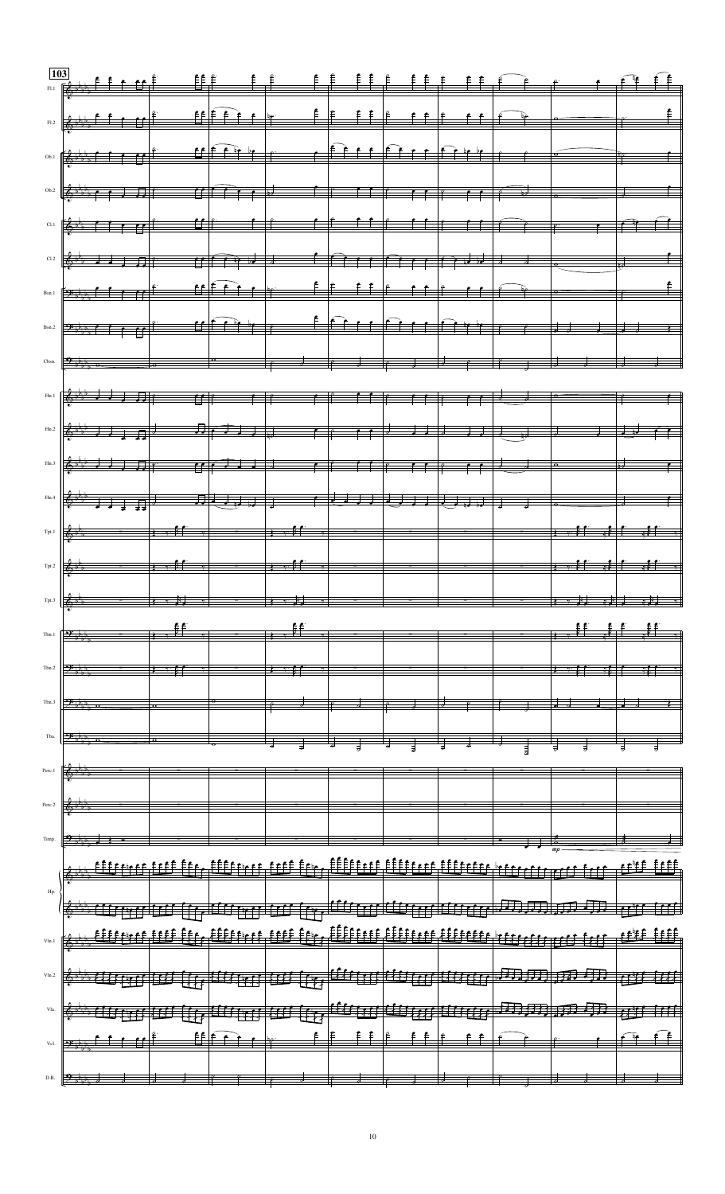|                | $F_{12}$ $\frac{1}{2}$ $\frac{1}{2}$ $\frac{1}{2}$ $\frac{1}{2}$ $\frac{1}{2}$ $\frac{1}{2}$ $\frac{1}{2}$ $\frac{1}{2}$ $\frac{1}{2}$ $\frac{1}{2}$ $\frac{1}{2}$ $\frac{1}{2}$ $\frac{1}{2}$ $\frac{1}{2}$ $\frac{1}{2}$ $\frac{1}{2}$ $\frac{1}{2}$ $\frac{1}{2}$ $\frac{1}{2}$ $\frac{1}{2}$ $\frac{1}{2}$ $\frac$                                                                                                                 |                                                     |                                           |          |        |                      |                                                                                                                                                                                                                                                                                                                  |               |
|----------------|----------------------------------------------------------------------------------------------------------------------------------------------------------------------------------------------------------------------------------------------------------------------------------------------------------------------------------------------------------------------------------------------------------------------------------------|-----------------------------------------------------|-------------------------------------------|----------|--------|----------------------|------------------------------------------------------------------------------------------------------------------------------------------------------------------------------------------------------------------------------------------------------------------------------------------------------------------|---------------|
|                | $0b.1$ $\left[\begin{array}{ccc ccc} 0 & b & b & c & c & c & c \ 0 & 0 & b & b & c & c & c \ 0 & 0 & 0 & 0 & 0 \end{array}\right]$                                                                                                                                                                                                                                                                                                     |                                                     |                                           |          |        |                      |                                                                                                                                                                                                                                                                                                                  | $\mathbb{F}$  |
|                |                                                                                                                                                                                                                                                                                                                                                                                                                                        |                                                     |                                           |          |        |                      |                                                                                                                                                                                                                                                                                                                  | $\frac{1}{2}$ |
|                |                                                                                                                                                                                                                                                                                                                                                                                                                                        |                                                     |                                           |          |        |                      |                                                                                                                                                                                                                                                                                                                  |               |
|                | $\frac{1}{100}$ $\frac{1}{100}$ $\frac{1}{100}$ $\frac{1}{100}$ $\frac{1}{100}$ $\frac{1}{100}$ $\frac{1}{100}$ $\frac{1}{100}$ $\frac{1}{100}$ $\frac{1}{100}$ $\frac{1}{100}$ $\frac{1}{100}$ $\frac{1}{100}$ $\frac{1}{100}$ $\frac{1}{100}$ $\frac{1}{100}$ $\frac{1}{100}$ $\frac{1}{100}$ $\frac{1$                                                                                                                              |                                                     |                                           |          |        |                      |                                                                                                                                                                                                                                                                                                                  |               |
| $_{\rm Bsn.1}$ | $9 - 1$                                                                                                                                                                                                                                                                                                                                                                                                                                |                                                     |                                           |          |        |                      | $\overline{\phantom{a}}$<br>$\circ$                                                                                                                                                                                                                                                                              |               |
|                | $Bsn.2$ $\frac{3}{2}$ $\frac{1}{2}$ $\frac{1}{2}$ $\frac{1}{2}$ $\frac{1}{2}$ $\frac{1}{2}$ $\frac{1}{2}$ $\frac{1}{2}$ $\frac{1}{2}$ $\frac{1}{2}$ $\frac{1}{2}$ $\frac{1}{2}$ $\frac{1}{2}$ $\frac{1}{2}$ $\frac{1}{2}$ $\frac{1}{2}$ $\frac{1}{2}$ $\frac{1}{2}$ $\frac{1}{2}$ $\frac{1}{2}$ $\frac{1}{2}$ $\frac{$                                                                                                                 |                                                     |                                           |          |        |                      | $U[\,\widehat{\,\cdot\,}\,]\,\gamma\,\leftarrow\,\gamma\,\left[\,\widehat{\,\cdot\,}\,]\,\widehat{\,\cdot\,}\,]\,\widehat{\,\cdot\,}\,\left[\,\widehat{\,\cdot\,}\,]\,\widehat{\,\cdot\,}\,]\,\widehat{\,\cdot\,}\,\left[\,\widehat{\,\cdot\,}\,]\,\widehat{\,\cdot\,}\,]\,\right.\,\left.\right.\right.\right.$ |               |
|                |                                                                                                                                                                                                                                                                                                                                                                                                                                        |                                                     |                                           | $\theta$ | $\Box$ | $\frac{1}{\sqrt{2}}$ |                                                                                                                                                                                                                                                                                                                  |               |
|                | $F_{\text{min}}$ $\left[\frac{1}{\sqrt{2}}\frac{1}{\sqrt{2}}\frac{1}{\sqrt{2}}\right]$ $\left[\frac{1}{\sqrt{2}}\frac{1}{\sqrt{2}}\frac{1}{\sqrt{2}}\frac{1}{\sqrt{2}}\frac{1}{\sqrt{2}}\frac{1}{\sqrt{2}}\frac{1}{\sqrt{2}}\frac{1}{\sqrt{2}}\frac{1}{\sqrt{2}}\frac{1}{\sqrt{2}}\frac{1}{\sqrt{2}}\frac{1}{\sqrt{2}}\frac{1}{\sqrt{2}}\frac{1}{\sqrt{2}}\frac{1}{\sqrt{2}}\frac{1}{\sqrt{2}}\frac{1}{\sqrt{2}}$                      |                                                     |                                           |          |        |                      | $\overline{\phantom{a}}$<br>$\frac{1}{2}$                                                                                                                                                                                                                                                                        |               |
|                |                                                                                                                                                                                                                                                                                                                                                                                                                                        |                                                     |                                           |          |        |                      | $\frac{1}{2}$ $\frac{1}{2}$ $\frac{1}{2}$ $\frac{1}{2}$ $\frac{1}{2}$ $\frac{1}{2}$                                                                                                                                                                                                                              |               |
|                | $\mathbb{E} \left[ \left  \frac{1}{\sqrt{2}} \frac{1}{\sqrt{2}} \frac{1}{\sqrt{2}} \frac{1}{\sqrt{2}} \frac{1}{\sqrt{2}} \frac{1}{\sqrt{2}} \frac{1}{\sqrt{2}} \frac{1}{\sqrt{2}} \frac{1}{\sqrt{2}} \frac{1}{\sqrt{2}} \frac{1}{\sqrt{2}} \frac{1}{\sqrt{2}} \frac{1}{\sqrt{2}} \frac{1}{\sqrt{2}} \frac{1}{\sqrt{2}} \frac{1}{\sqrt{2}} \frac{1}{\sqrt{2}} \frac{1}{\sqrt{2}} \frac{1}{\sqrt{2}} \frac{1}{\sqrt{2}} \frac{1}{\sqrt{$ |                                                     |                                           |          |        |                      | $\bullet$                                                                                                                                                                                                                                                                                                        |               |
| $_{\rm Hn.4}$  |                                                                                                                                                                                                                                                                                                                                                                                                                                        |                                                     |                                           |          |        |                      |                                                                                                                                                                                                                                                                                                                  |               |
|                | $\frac{1}{2}$                                                                                                                                                                                                                                                                                                                                                                                                                          | $\rightarrow$ $\cdot$ $\ell$ f<br>$\overline{y}$    |                                           |          |        |                      | $\frac{1}{2}$                                                                                                                                                                                                                                                                                                    |               |
|                | $Tpt.1$ $\left(\frac{1}{2} + \frac{1}{2} + \frac{1}{2} + \frac{1}{2} + \frac{1}{2} + \frac{1}{2} + \frac{1}{2} + \frac{1}{2} + \frac{1}{2} + \frac{1}{2} + \frac{1}{2} + \frac{1}{2} + \frac{1}{2} + \frac{1}{2} + \frac{1}{2} + \frac{1}{2} + \frac{1}{2} + \frac{1}{2} + \frac{1}{2} + \frac{1}{2} + \frac{1}{2} + \frac{1}{2} + \frac{1}{2} + \frac{1}{2} + \frac{1}{2} + \frac{1}{2} + \frac{$                                     | $\mathbf{R}$ $\mathbf{Y}$ $\mathbf{Y}$ $\mathbf{Y}$ | $\frac{1}{\sqrt{2}}$ $\frac{1}{\sqrt{2}}$ |          |        |                      |                                                                                                                                                                                                                                                                                                                  |               |
| Tpt.3          | Tpt.2                                                                                                                                                                                                                                                                                                                                                                                                                                  |                                                     |                                           |          |        |                      |                                                                                                                                                                                                                                                                                                                  |               |
|                | $6^{\frac{1}{2}}$                                                                                                                                                                                                                                                                                                                                                                                                                      |                                                     |                                           |          |        |                      |                                                                                                                                                                                                                                                                                                                  |               |
| Tbn.1          |                                                                                                                                                                                                                                                                                                                                                                                                                                        |                                                     |                                           |          |        |                      |                                                                                                                                                                                                                                                                                                                  |               |
| Tbn.2          |                                                                                                                                                                                                                                                                                                                                                                                                                                        |                                                     |                                           |          |        |                      |                                                                                                                                                                                                                                                                                                                  |               |
| Tbn.3          |                                                                                                                                                                                                                                                                                                                                                                                                                                        |                                                     |                                           |          |        |                      |                                                                                                                                                                                                                                                                                                                  |               |
| Tba.           |                                                                                                                                                                                                                                                                                                                                                                                                                                        |                                                     |                                           |          |        |                      |                                                                                                                                                                                                                                                                                                                  |               |
| $Perc.1$       | $6^{\frac{5}{3}}$                                                                                                                                                                                                                                                                                                                                                                                                                      |                                                     |                                           |          |        |                      |                                                                                                                                                                                                                                                                                                                  |               |
| Perc.2         | $6^{\frac{p}{p}}$                                                                                                                                                                                                                                                                                                                                                                                                                      |                                                     |                                           |          |        |                      |                                                                                                                                                                                                                                                                                                                  |               |
| Timp.          |                                                                                                                                                                                                                                                                                                                                                                                                                                        |                                                     |                                           |          |        |                      | <u>יננימימיון רבול לרון לללימימין רבול למין (ללליכבל (לליכמו) ולליכבון אברה הרון הוה למין ובללי לכלל לכלל</u>                                                                                                                                                                                                    |               |
| Hp.            |                                                                                                                                                                                                                                                                                                                                                                                                                                        |                                                     |                                           |          |        |                      |                                                                                                                                                                                                                                                                                                                  |               |
|                | الإشراف المواطن المناطق المناسب المستقارين المنافس المناسب المناسب المستقار المناسب المناسب المناسبة المناسبة ا                                                                                                                                                                                                                                                                                                                        |                                                     |                                           |          |        |                      |                                                                                                                                                                                                                                                                                                                  |               |
|                |                                                                                                                                                                                                                                                                                                                                                                                                                                        |                                                     |                                           |          |        |                      |                                                                                                                                                                                                                                                                                                                  |               |
| Vln.2          | <del>\$<sup>\$\$</sup> dered</del> as ( <sub>Cr</sub> iterar) as (cri <sup>cter</sup> ar) derar <mark>derar 100 mm   m 40   a</mark> s aa                                                                                                                                                                                                                                                                                              |                                                     |                                           |          |        |                      |                                                                                                                                                                                                                                                                                                                  |               |
| Vla.           | \$**CO and <mark>OO   OO   CO and OO   OO   CO   CO and</mark>   CO and   CO and   ST 3 3 3 4 5 1   <sub>CO</sub> and I                                                                                                                                                                                                                                                                                                                |                                                     |                                           |          |        |                      |                                                                                                                                                                                                                                                                                                                  |               |
|                | $\mathbf{P}_{\mathbf{p}^{\prime}\mathbf{p}_{\mathbf{p}}}$ if it is the set of $\mathbf{E}$                                                                                                                                                                                                                                                                                                                                             |                                                     |                                           |          |        |                      |                                                                                                                                                                                                                                                                                                                  |               |
| D.B.           |                                                                                                                                                                                                                                                                                                                                                                                                                                        |                                                     |                                           |          |        |                      |                                                                                                                                                                                                                                                                                                                  |               |